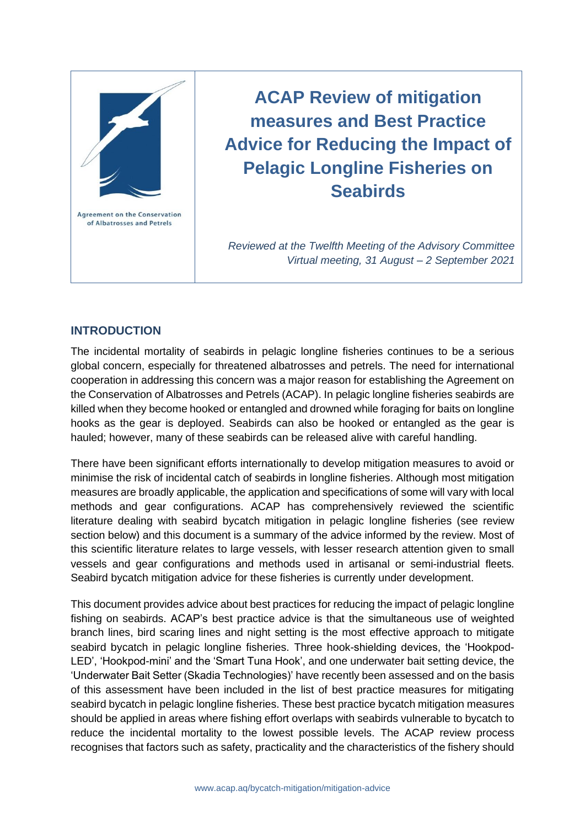

**ACAP Review of mitigation measures and Best Practice Advice for Reducing the Impact of Pelagic Longline Fisheries on Seabirds**

*Reviewed at the Twelfth Meeting of the Advisory Committee Virtual meeting, 31 August – 2 September 2021*

# **INTRODUCTION**

The incidental mortality of seabirds in pelagic longline fisheries continues to be a serious global concern, especially for threatened albatrosses and petrels. The need for international cooperation in addressing this concern was a major reason for establishing the Agreement on the Conservation of Albatrosses and Petrels (ACAP). In pelagic longline fisheries seabirds are killed when they become hooked or entangled and drowned while foraging for baits on longline hooks as the gear is deployed. Seabirds can also be hooked or entangled as the gear is hauled; however, many of these seabirds can be released alive with careful handling.

There have been significant efforts internationally to develop mitigation measures to avoid or minimise the risk of incidental catch of seabirds in longline fisheries. Although most mitigation measures are broadly applicable, the application and specifications of some will vary with local methods and gear configurations. ACAP has comprehensively reviewed the scientific literature dealing with seabird bycatch mitigation in pelagic longline fisheries (see review section below) and this document is a summary of the advice informed by the review. Most of this scientific literature relates to large vessels, with lesser research attention given to small vessels and gear configurations and methods used in artisanal or semi-industrial fleets. Seabird bycatch mitigation advice for these fisheries is currently under development.

This document provides advice about best practices for reducing the impact of pelagic longline fishing on seabirds. ACAP's best practice advice is that the simultaneous use of weighted branch lines, bird scaring lines and night setting is the most effective approach to mitigate seabird bycatch in pelagic longline fisheries. Three hook-shielding devices, the 'Hookpod-LED', 'Hookpod-mini' and the 'Smart Tuna Hook', and one underwater bait setting device, the 'Underwater Bait Setter (Skadia Technologies)' have recently been assessed and on the basis of this assessment have been included in the list of best practice measures for mitigating seabird bycatch in pelagic longline fisheries. These best practice bycatch mitigation measures should be applied in areas where fishing effort overlaps with seabirds vulnerable to bycatch to reduce the incidental mortality to the lowest possible levels. The ACAP review process recognises that factors such as safety, practicality and the characteristics of the fishery should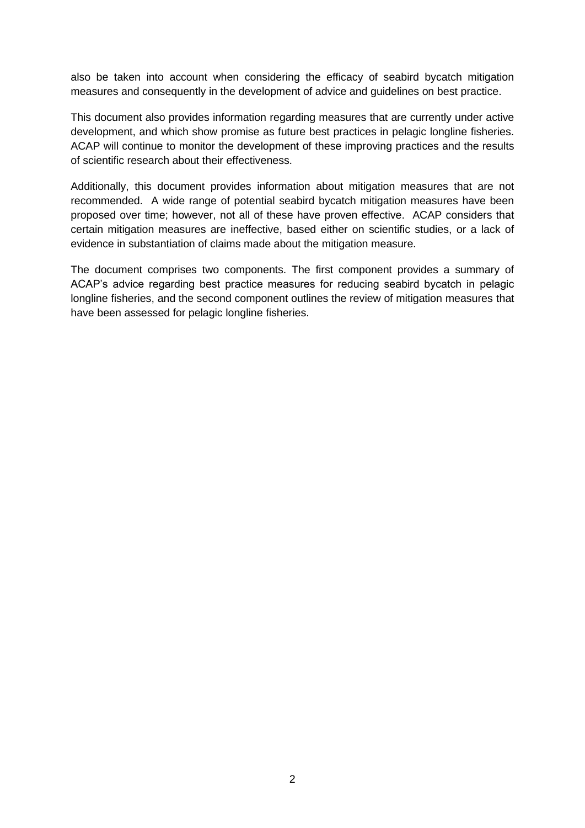also be taken into account when considering the efficacy of seabird bycatch mitigation measures and consequently in the development of advice and guidelines on best practice.

This document also provides information regarding measures that are currently under active development, and which show promise as future best practices in pelagic longline fisheries. ACAP will continue to monitor the development of these improving practices and the results of scientific research about their effectiveness.

Additionally, this document provides information about mitigation measures that are not recommended. A wide range of potential seabird bycatch mitigation measures have been proposed over time; however, not all of these have proven effective. ACAP considers that certain mitigation measures are ineffective, based either on scientific studies, or a lack of evidence in substantiation of claims made about the mitigation measure.

The document comprises two components. The first component provides a summary of ACAP's advice regarding best practice measures for reducing seabird bycatch in pelagic longline fisheries, and the second component outlines the review of mitigation measures that have been assessed for pelagic longline fisheries.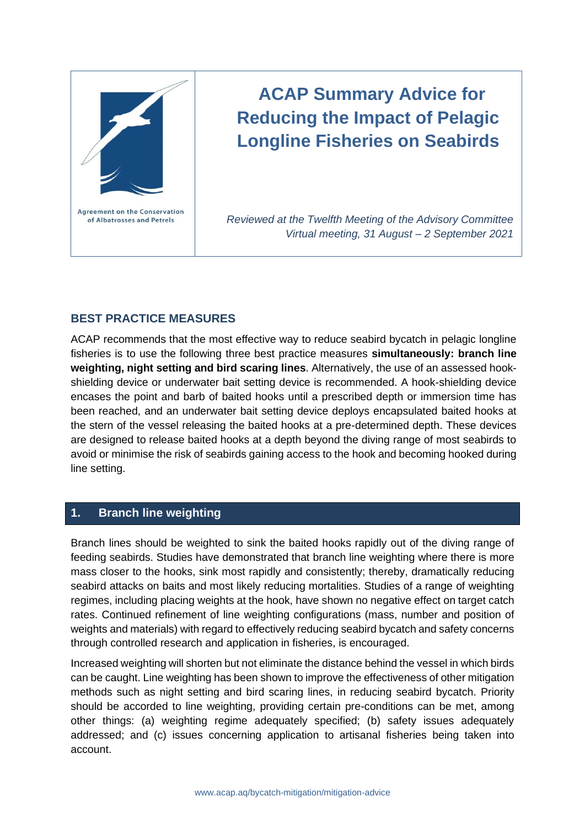

# **ACAP Summary Advice for Reducing the Impact of Pelagic Longline Fisheries on Seabirds**

*Reviewed at the Twelfth Meeting of the Advisory Committee Virtual meeting, 31 August – 2 September 2021*

# **BEST PRACTICE MEASURES**

ACAP recommends that the most effective way to reduce seabird bycatch in pelagic longline fisheries is to use the following three best practice measures **simultaneously: branch line weighting, night setting and bird scaring lines**. Alternatively, the use of an assessed hookshielding device or underwater bait setting device is recommended. A hook-shielding device encases the point and barb of baited hooks until a prescribed depth or immersion time has been reached, and an underwater bait setting device deploys encapsulated baited hooks at the stern of the vessel releasing the baited hooks at a pre-determined depth. These devices are designed to release baited hooks at a depth beyond the diving range of most seabirds to avoid or minimise the risk of seabirds gaining access to the hook and becoming hooked during line setting.

# **1. Branch line weighting**

Branch lines should be weighted to sink the baited hooks rapidly out of the diving range of feeding seabirds. Studies have demonstrated that branch line weighting where there is more mass closer to the hooks, sink most rapidly and consistently; thereby, dramatically reducing seabird attacks on baits and most likely reducing mortalities. Studies of a range of weighting regimes, including placing weights at the hook, have shown no negative effect on target catch rates. Continued refinement of line weighting configurations (mass, number and position of weights and materials) with regard to effectively reducing seabird bycatch and safety concerns through controlled research and application in fisheries, is encouraged.

Increased weighting will shorten but not eliminate the distance behind the vessel in which birds can be caught. Line weighting has been shown to improve the effectiveness of other mitigation methods such as night setting and bird scaring lines, in reducing seabird bycatch. Priority should be accorded to line weighting, providing certain pre-conditions can be met, among other things: (a) weighting regime adequately specified; (b) safety issues adequately addressed; and (c) issues concerning application to artisanal fisheries being taken into account.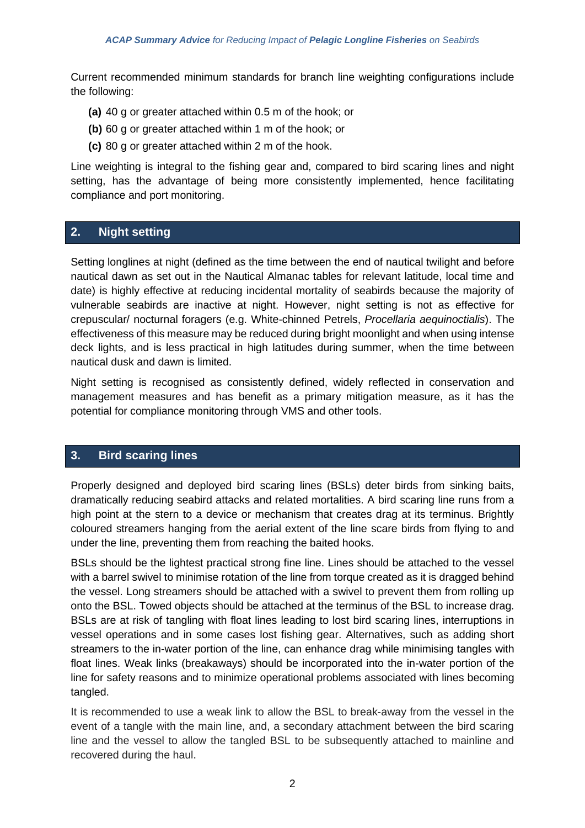Current recommended minimum standards for branch line weighting configurations include the following:

- **(a)** 40 g or greater attached within 0.5 m of the hook; or
- **(b)** 60 g or greater attached within 1 m of the hook; or
- **(c)** 80 g or greater attached within 2 m of the hook.

Line weighting is integral to the fishing gear and, compared to bird scaring lines and night setting, has the advantage of being more consistently implemented, hence facilitating compliance and port monitoring.

# **2. Night setting**

Setting longlines at night (defined as the time between the end of nautical twilight and before nautical dawn as set out in the Nautical Almanac tables for relevant latitude, local time and date) is highly effective at reducing incidental mortality of seabirds because the majority of vulnerable seabirds are inactive at night. However, night setting is not as effective for crepuscular/ nocturnal foragers (e.g. White-chinned Petrels, *Procellaria aequinoctialis*). The effectiveness of this measure may be reduced during bright moonlight and when using intense deck lights, and is less practical in high latitudes during summer, when the time between nautical dusk and dawn is limited.

Night setting is recognised as consistently defined, widely reflected in conservation and management measures and has benefit as a primary mitigation measure, as it has the potential for compliance monitoring through VMS and other tools.

# **3. Bird scaring lines**

Properly designed and deployed bird scaring lines (BSLs) deter birds from sinking baits, dramatically reducing seabird attacks and related mortalities. A bird scaring line runs from a high point at the stern to a device or mechanism that creates drag at its terminus. Brightly coloured streamers hanging from the aerial extent of the line scare birds from flying to and under the line, preventing them from reaching the baited hooks.

BSLs should be the lightest practical strong fine line. Lines should be attached to the vessel with a barrel swivel to minimise rotation of the line from torque created as it is dragged behind the vessel. Long streamers should be attached with a swivel to prevent them from rolling up onto the BSL. Towed objects should be attached at the terminus of the BSL to increase drag. BSLs are at risk of tangling with float lines leading to lost bird scaring lines, interruptions in vessel operations and in some cases lost fishing gear. Alternatives, such as adding short streamers to the in-water portion of the line, can enhance drag while minimising tangles with float lines. Weak links (breakaways) should be incorporated into the in-water portion of the line for safety reasons and to minimize operational problems associated with lines becoming tangled.

It is recommended to use a weak link to allow the BSL to break-away from the vessel in the event of a tangle with the main line, and, a secondary attachment between the bird scaring line and the vessel to allow the tangled BSL to be subsequently attached to mainline and recovered during the haul.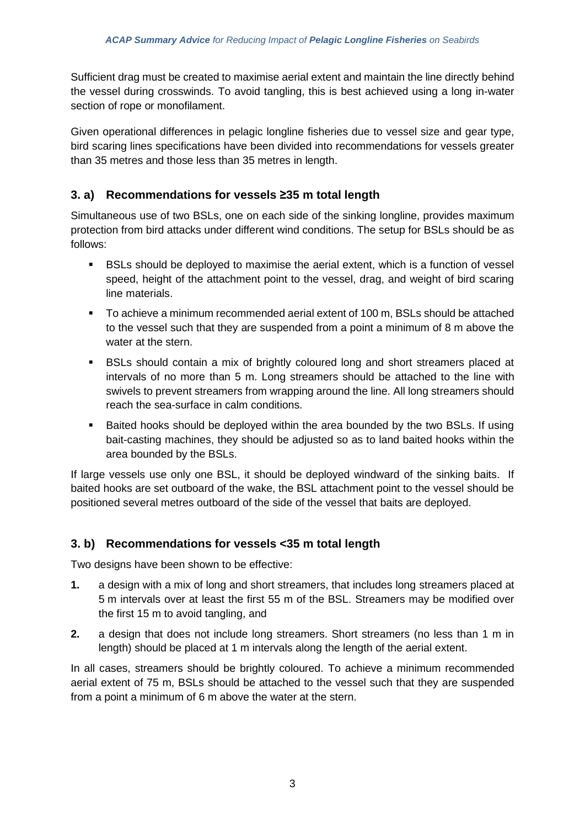Sufficient drag must be created to maximise aerial extent and maintain the line directly behind the vessel during crosswinds. To avoid tangling, this is best achieved using a long in-water section of rope or monofilament.

Given operational differences in pelagic longline fisheries due to vessel size and gear type, bird scaring lines specifications have been divided into recommendations for vessels greater than 35 metres and those less than 35 metres in length.

# **3. a) Recommendations for vessels ≥35 m total length**

Simultaneous use of two BSLs, one on each side of the sinking longline, provides maximum protection from bird attacks under different wind conditions. The setup for BSLs should be as follows:

- BSLs should be deployed to maximise the aerial extent, which is a function of vessel speed, height of the attachment point to the vessel, drag, and weight of bird scaring line materials.
- To achieve a minimum recommended aerial extent of 100 m, BSLs should be attached to the vessel such that they are suspended from a point a minimum of 8 m above the water at the stern.
- BSLs should contain a mix of brightly coloured long and short streamers placed at intervals of no more than 5 m. Long streamers should be attached to the line with swivels to prevent streamers from wrapping around the line. All long streamers should reach the sea-surface in calm conditions.
- Baited hooks should be deployed within the area bounded by the two BSLs. If using bait-casting machines, they should be adjusted so as to land baited hooks within the area bounded by the BSLs.

If large vessels use only one BSL, it should be deployed windward of the sinking baits. If baited hooks are set outboard of the wake, the BSL attachment point to the vessel should be positioned several metres outboard of the side of the vessel that baits are deployed.

# **3. b) Recommendations for vessels <35 m total length**

Two designs have been shown to be effective:

- **1.** a design with a mix of long and short streamers, that includes long streamers placed at 5 m intervals over at least the first 55 m of the BSL. Streamers may be modified over the first 15 m to avoid tangling, and
- **2.** a design that does not include long streamers. Short streamers (no less than 1 m in length) should be placed at 1 m intervals along the length of the aerial extent.

In all cases, streamers should be brightly coloured. To achieve a minimum recommended aerial extent of 75 m, BSLs should be attached to the vessel such that they are suspended from a point a minimum of 6 m above the water at the stern.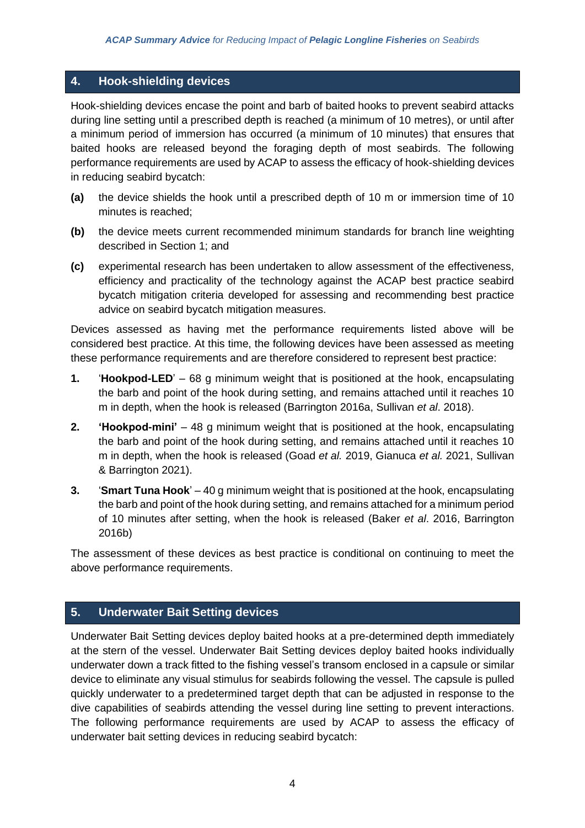# **4. Hook-shielding devices**

Hook-shielding devices encase the point and barb of baited hooks to prevent seabird attacks during line setting until a prescribed depth is reached (a minimum of 10 metres), or until after a minimum period of immersion has occurred (a minimum of 10 minutes) that ensures that baited hooks are released beyond the foraging depth of most seabirds. The following performance requirements are used by ACAP to assess the efficacy of hook-shielding devices in reducing seabird bycatch:

- **(a)** the device shields the hook until a prescribed depth of 10 m or immersion time of 10 minutes is reached;
- **(b)** the device meets current recommended minimum standards for branch line weighting described in Section 1; and
- **(c)** experimental research has been undertaken to allow assessment of the effectiveness, efficiency and practicality of the technology against the ACAP best practice seabird bycatch mitigation criteria developed for assessing and recommending best practice advice on seabird bycatch mitigation measures.

Devices assessed as having met the performance requirements listed above will be considered best practice. At this time, the following devices have been assessed as meeting these performance requirements and are therefore considered to represent best practice:

- **1.** '**Hookpod-LED**' 68 g minimum weight that is positioned at the hook, encapsulating the barb and point of the hook during setting, and remains attached until it reaches 10 m in depth, when the hook is released (Barrington 2016a, Sullivan *et al*. 2018).
- **2. 'Hookpod-mini'** 48 g minimum weight that is positioned at the hook, encapsulating the barb and point of the hook during setting, and remains attached until it reaches 10 m in depth, when the hook is released (Goad *et al.* 2019, Gianuca *et al.* 2021, Sullivan & Barrington 2021).
- **3.** '**Smart Tuna Hook**' 40 g minimum weight that is positioned at the hook, encapsulating the barb and point of the hook during setting, and remains attached for a minimum period of 10 minutes after setting, when the hook is released (Baker *et al*. 2016, Barrington 2016b)

The assessment of these devices as best practice is conditional on continuing to meet the above performance requirements.

# **5. Underwater Bait Setting devices**

Underwater Bait Setting devices deploy baited hooks at a pre-determined depth immediately at the stern of the vessel. Underwater Bait Setting devices deploy baited hooks individually underwater down a track fitted to the fishing vessel's transom enclosed in a capsule or similar device to eliminate any visual stimulus for seabirds following the vessel. The capsule is pulled quickly underwater to a predetermined target depth that can be adjusted in response to the dive capabilities of seabirds attending the vessel during line setting to prevent interactions. The following performance requirements are used by ACAP to assess the efficacy of underwater bait setting devices in reducing seabird bycatch: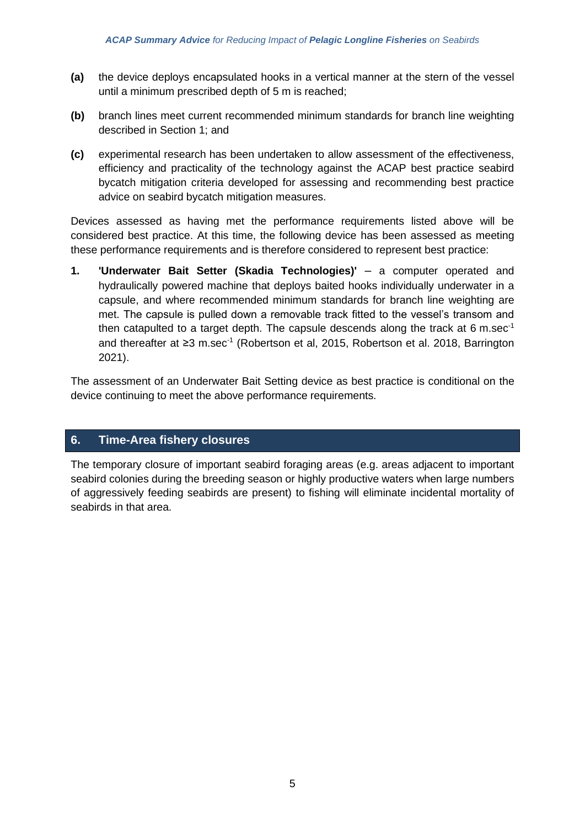- **(a)** the device deploys encapsulated hooks in a vertical manner at the stern of the vessel until a minimum prescribed depth of 5 m is reached;
- **(b)** branch lines meet current recommended minimum standards for branch line weighting described in Section 1; and
- **(c)** experimental research has been undertaken to allow assessment of the effectiveness, efficiency and practicality of the technology against the ACAP best practice seabird bycatch mitigation criteria developed for assessing and recommending best practice advice on seabird bycatch mitigation measures.

Devices assessed as having met the performance requirements listed above will be considered best practice. At this time, the following device has been assessed as meeting these performance requirements and is therefore considered to represent best practice:

**1. 'Underwater Bait Setter (Skadia Technologies)'** – a computer operated and hydraulically powered machine that deploys baited hooks individually underwater in a capsule, and where recommended minimum standards for branch line weighting are met. The capsule is pulled down a removable track fitted to the vessel's transom and then catapulted to a target depth. The capsule descends along the track at 6 m.sec<sup>-1</sup> and thereafter at ≥3 m.sec<sup>-1</sup> (Robertson et al, 2015, Robertson et al. 2018, Barrington 2021).

The assessment of an Underwater Bait Setting device as best practice is conditional on the device continuing to meet the above performance requirements.

# **6. Time-Area fishery closures**

The temporary closure of important seabird foraging areas (e.g. areas adjacent to important seabird colonies during the breeding season or highly productive waters when large numbers of aggressively feeding seabirds are present) to fishing will eliminate incidental mortality of seabirds in that area.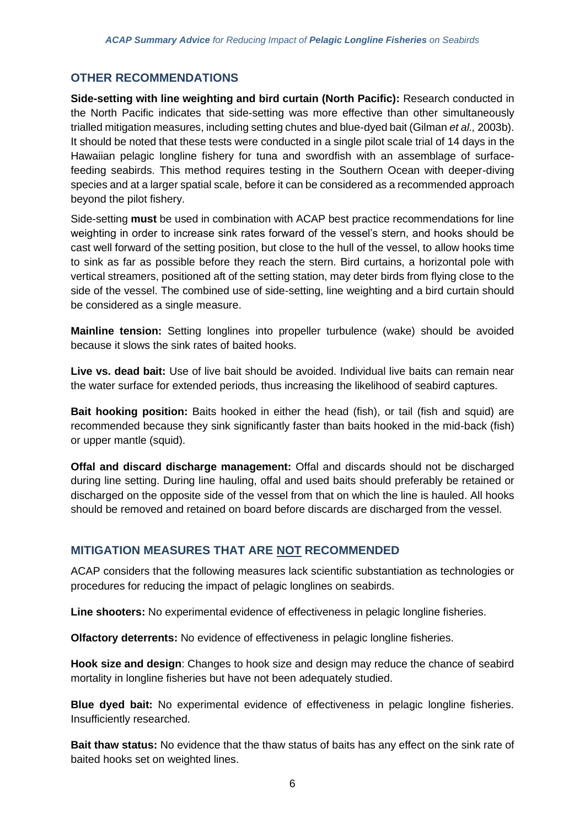# **OTHER RECOMMENDATIONS**

**Side-setting with line weighting and bird curtain (North Pacific):** Research conducted in the North Pacific indicates that side-setting was more effective than other simultaneously trialled mitigation measures, including setting chutes and blue-dyed bait (Gilman *et al.,* 2003b). It should be noted that these tests were conducted in a single pilot scale trial of 14 days in the Hawaiian pelagic longline fishery for tuna and swordfish with an assemblage of surfacefeeding seabirds. This method requires testing in the Southern Ocean with deeper-diving species and at a larger spatial scale, before it can be considered as a recommended approach beyond the pilot fishery.

Side-setting **must** be used in combination with ACAP best practice recommendations for line weighting in order to increase sink rates forward of the vessel's stern, and hooks should be cast well forward of the setting position, but close to the hull of the vessel, to allow hooks time to sink as far as possible before they reach the stern. Bird curtains, a horizontal pole with vertical streamers, positioned aft of the setting station, may deter birds from flying close to the side of the vessel. The combined use of side-setting, line weighting and a bird curtain should be considered as a single measure.

**Mainline tension:** Setting longlines into propeller turbulence (wake) should be avoided because it slows the sink rates of baited hooks.

**Live vs. dead bait:** Use of live bait should be avoided. Individual live baits can remain near the water surface for extended periods, thus increasing the likelihood of seabird captures.

**Bait hooking position:** Baits hooked in either the head (fish), or tail (fish and squid) are recommended because they sink significantly faster than baits hooked in the mid-back (fish) or upper mantle (squid).

**Offal and discard discharge management:** Offal and discards should not be discharged during line setting. During line hauling, offal and used baits should preferably be retained or discharged on the opposite side of the vessel from that on which the line is hauled. All hooks should be removed and retained on board before discards are discharged from the vessel.

# **MITIGATION MEASURES THAT ARE NOT RECOMMENDED**

ACAP considers that the following measures lack scientific substantiation as technologies or procedures for reducing the impact of pelagic longlines on seabirds.

**Line shooters:** No experimental evidence of effectiveness in pelagic longline fisheries.

**Olfactory deterrents:** No evidence of effectiveness in pelagic longline fisheries.

**Hook size and design**: Changes to hook size and design may reduce the chance of seabird mortality in longline fisheries but have not been adequately studied.

**Blue dyed bait:** No experimental evidence of effectiveness in pelagic longline fisheries. Insufficiently researched.

**Bait thaw status:** No evidence that the thaw status of baits has any effect on the sink rate of baited hooks set on weighted lines.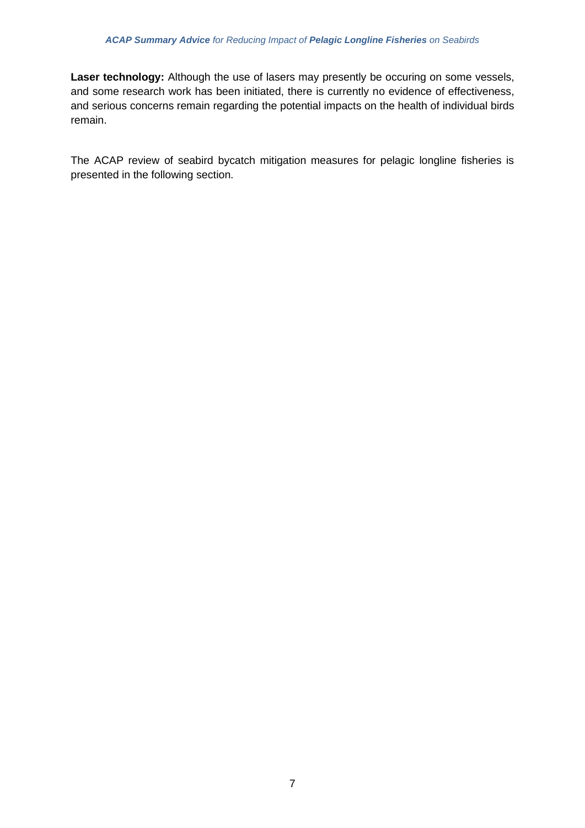**Laser technology:** Although the use of lasers may presently be occuring on some vessels, and some research work has been initiated, there is currently no evidence of effectiveness, and serious concerns remain regarding the potential impacts on the health of individual birds remain.

The ACAP review of seabird bycatch mitigation measures for pelagic longline fisheries is presented in the following section.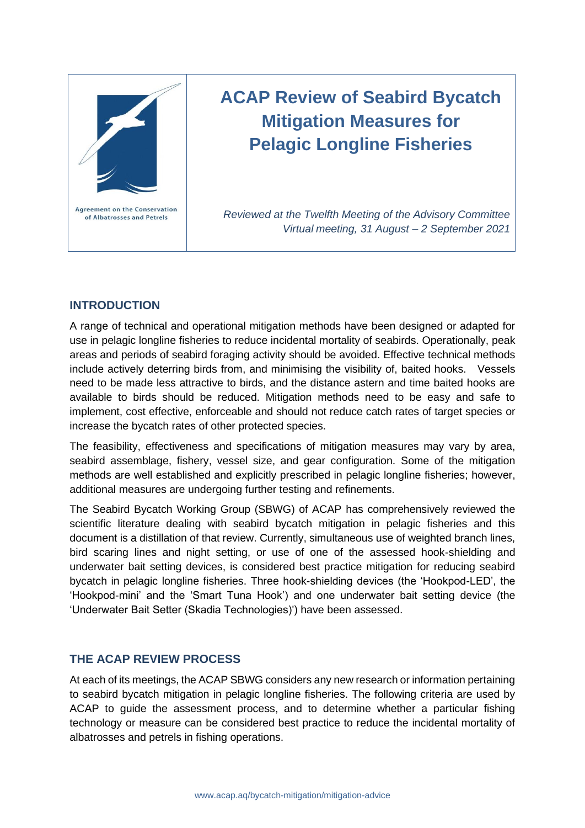

# **ACAP Review of Seabird Bycatch Mitigation Measures for Pelagic Longline Fisheries**

*Reviewed at the Twelfth Meeting of the Advisory Committee Virtual meeting, 31 August – 2 September 2021*

# **INTRODUCTION**

A range of technical and operational mitigation methods have been designed or adapted for use in pelagic longline fisheries to reduce incidental mortality of seabirds. Operationally, peak areas and periods of seabird foraging activity should be avoided. Effective technical methods include actively deterring birds from, and minimising the visibility of, baited hooks. Vessels need to be made less attractive to birds, and the distance astern and time baited hooks are available to birds should be reduced. Mitigation methods need to be easy and safe to implement, cost effective, enforceable and should not reduce catch rates of target species or increase the bycatch rates of other protected species.

The feasibility, effectiveness and specifications of mitigation measures may vary by area, seabird assemblage, fishery, vessel size, and gear configuration. Some of the mitigation methods are well established and explicitly prescribed in pelagic longline fisheries; however, additional measures are undergoing further testing and refinements.

The Seabird Bycatch Working Group (SBWG) of ACAP has comprehensively reviewed the scientific literature dealing with seabird bycatch mitigation in pelagic fisheries and this document is a distillation of that review. Currently, simultaneous use of weighted branch lines, bird scaring lines and night setting, or use of one of the assessed hook-shielding and underwater bait setting devices, is considered best practice mitigation for reducing seabird bycatch in pelagic longline fisheries. Three hook-shielding devices (the 'Hookpod-LED', the 'Hookpod-mini' and the 'Smart Tuna Hook') and one underwater bait setting device (the 'Underwater Bait Setter (Skadia Technologies)') have been assessed.

# **THE ACAP REVIEW PROCESS**

At each of its meetings, the ACAP SBWG considers any new research or information pertaining to seabird bycatch mitigation in pelagic longline fisheries. The following criteria are used by ACAP to guide the assessment process, and to determine whether a particular fishing technology or measure can be considered best practice to reduce the incidental mortality of albatrosses and petrels in fishing operations.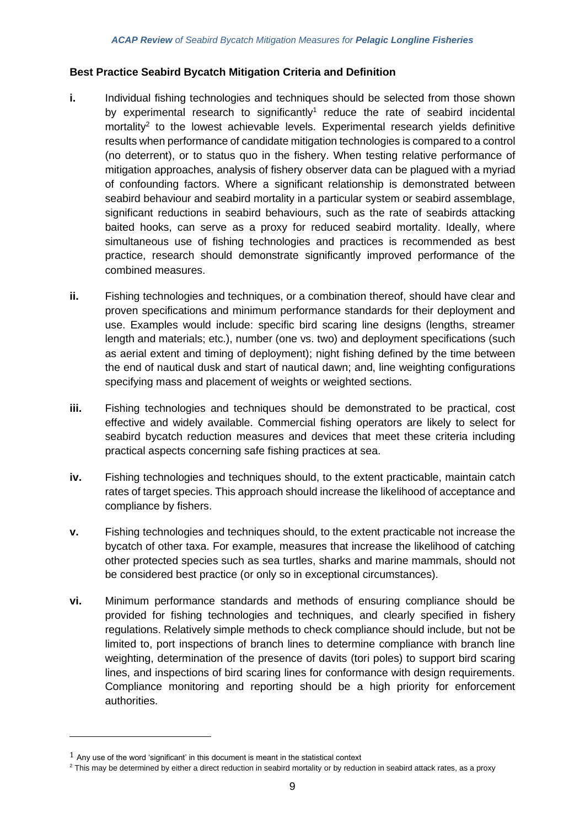### **Best Practice Seabird Bycatch Mitigation Criteria and Definition**

- **i.** Individual fishing technologies and techniques should be selected from those shown by experimental research to significantly<sup>1</sup> reduce the rate of seabird incidental mortality<sup>2</sup> to the lowest achievable levels. Experimental research yields definitive results when performance of candidate mitigation technologies is compared to a control (no deterrent), or to status quo in the fishery. When testing relative performance of mitigation approaches, analysis of fishery observer data can be plagued with a myriad of confounding factors. Where a significant relationship is demonstrated between seabird behaviour and seabird mortality in a particular system or seabird assemblage, significant reductions in seabird behaviours, such as the rate of seabirds attacking baited hooks, can serve as a proxy for reduced seabird mortality. Ideally, where simultaneous use of fishing technologies and practices is recommended as best practice, research should demonstrate significantly improved performance of the combined measures.
- **ii.** Fishing technologies and techniques, or a combination thereof, should have clear and proven specifications and minimum performance standards for their deployment and use. Examples would include: specific bird scaring line designs (lengths, streamer length and materials; etc.), number (one vs. two) and deployment specifications (such as aerial extent and timing of deployment); night fishing defined by the time between the end of nautical dusk and start of nautical dawn; and, line weighting configurations specifying mass and placement of weights or weighted sections.
- **iii.** Fishing technologies and techniques should be demonstrated to be practical, cost effective and widely available. Commercial fishing operators are likely to select for seabird bycatch reduction measures and devices that meet these criteria including practical aspects concerning safe fishing practices at sea.
- **iv.** Fishing technologies and techniques should, to the extent practicable, maintain catch rates of target species. This approach should increase the likelihood of acceptance and compliance by fishers.
- **v.** Fishing technologies and techniques should, to the extent practicable not increase the bycatch of other taxa. For example, measures that increase the likelihood of catching other protected species such as sea turtles, sharks and marine mammals, should not be considered best practice (or only so in exceptional circumstances).
- **vi.** Minimum performance standards and methods of ensuring compliance should be provided for fishing technologies and techniques, and clearly specified in fishery regulations. Relatively simple methods to check compliance should include, but not be limited to, port inspections of branch lines to determine compliance with branch line weighting, determination of the presence of davits (tori poles) to support bird scaring lines, and inspections of bird scaring lines for conformance with design requirements. Compliance monitoring and reporting should be a high priority for enforcement authorities.

 $1$  Any use of the word 'significant' in this document is meant in the statistical context

<sup>&</sup>lt;sup>2</sup> This may be determined by either a direct reduction in seabird mortality or by reduction in seabird attack rates, as a proxy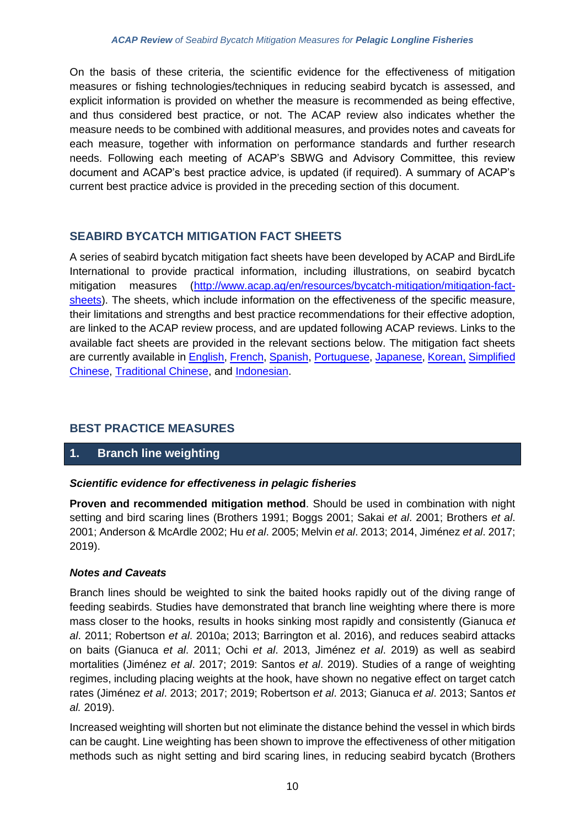On the basis of these criteria, the scientific evidence for the effectiveness of mitigation measures or fishing technologies/techniques in reducing seabird bycatch is assessed, and explicit information is provided on whether the measure is recommended as being effective, and thus considered best practice, or not. The ACAP review also indicates whether the measure needs to be combined with additional measures, and provides notes and caveats for each measure, together with information on performance standards and further research needs. Following each meeting of ACAP's SBWG and Advisory Committee, this review document and ACAP's best practice advice, is updated (if required). A summary of ACAP's current best practice advice is provided in the preceding section of this document.

# **SEABIRD BYCATCH MITIGATION FACT SHEETS**

A series of seabird bycatch mitigation fact sheets have been developed by ACAP and BirdLife International to provide practical information, including illustrations, on seabird bycatch mitigation measures [\(http://www.acap.aq/en/resources/bycatch-mitigation/mitigation-fact](http://www.acap.aq/en/resources/bycatch-mitigation/mitigation-fact-sheets)[sheets\)](http://www.acap.aq/en/resources/bycatch-mitigation/mitigation-fact-sheets). The sheets, which include information on the effectiveness of the specific measure, their limitations and strengths and best practice recommendations for their effective adoption, are linked to the ACAP review process, and are updated following ACAP reviews. Links to the available fact sheets are provided in the relevant sections below. The mitigation fact sheets are currently available in [English,](http://www.acap.aq/en/bycatch-mitigation/bycatch-mitigation-fact-sheets/2546-all-factsheets-zip-file/file) [French,](http://www.acap.aq/fr/captures-accidentelles/fiches-pratiques/2606-toutes-les-fiches-fichier-zip/file) [Spanish,](http://www.acap.aq/es/es-recursos-captura-incidental/hojas-informativas/2657-todas-las-hojas-informativas-archivo-zip/file) [Portuguese,](http://www.acap.aq/en/resources/bycatch-mitigation/mitigation-fact-sheets/2549-all-factsheets-zip-file-portuguese/file) [Japanese,](http://www.acap.aq/en/resources/bycatch-mitigation/mitigation-fact-sheets/2550-factsheets-zip-file-japanese/file) [Korean,](http://www.acap.aq/en/resources/bycatch-mitigation/mitigation-fact-sheets/2547-korean-factsheets-zip-file/file) [Simplified](https://www.acap.aq/bycatch-mitigation/bycatch-mitigation-fact-sheets/simplified-chinese)  [Chinese,](https://www.acap.aq/bycatch-mitigation/bycatch-mitigation-fact-sheets/simplified-chinese) [Traditional Chinese,](https://www.acap.aq/bycatch-mitigation/bycatch-mitigation-fact-sheets/traditional-chinese) and [Indonesian.](https://www.acap.aq/bycatch-mitigation/bycatch-mitigation-fact-sheets/bahasa-indonesia)

# **BEST PRACTICE MEASURES**

# **1. Branch line weighting**

### *Scientific evidence for effectiveness in pelagic fisheries*

**Proven and recommended mitigation method**. Should be used in combination with night setting and bird scaring lines (Brothers 1991; Boggs 2001; Sakai *et al*. 2001; Brothers *et al*. 2001; Anderson & McArdle 2002; Hu *et al*. 2005; Melvin *et al*. 2013; 2014, Jiménez *et al*. 2017; 2019).

### *Notes and Caveats*

Branch lines should be weighted to sink the baited hooks rapidly out of the diving range of feeding seabirds. Studies have demonstrated that branch line weighting where there is more mass closer to the hooks, results in hooks sinking most rapidly and consistently (Gianuca *et al*. 2011; Robertson *et al*. 2010a; 2013; Barrington et al. 2016), and reduces seabird attacks on baits (Gianuca *et al*. 2011; Ochi *et al*. 2013, Jiménez *et al*. 2019) as well as seabird mortalities (Jiménez *et al*. 2017; 2019: Santos *et al*. 2019). Studies of a range of weighting regimes, including placing weights at the hook, have shown no negative effect on target catch rates (Jiménez *et al*. 2013; 2017; 2019; Robertson *et al*. 2013; Gianuca *et al*. 2013; Santos *et al.* 2019).

Increased weighting will shorten but not eliminate the distance behind the vessel in which birds can be caught. Line weighting has been shown to improve the effectiveness of other mitigation methods such as night setting and bird scaring lines, in reducing seabird bycatch (Brothers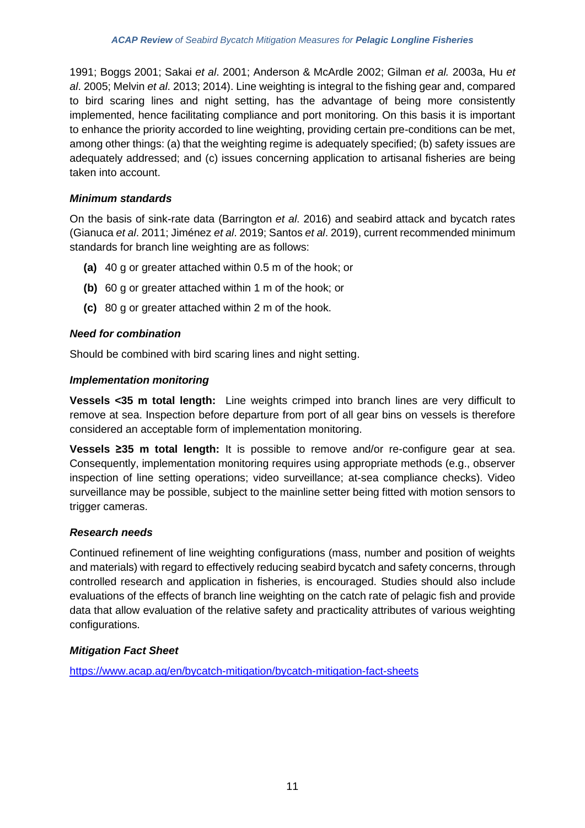1991; Boggs 2001; Sakai *et al*. 2001; Anderson & McArdle 2002; Gilman *et al.* 2003a, Hu *et al*. 2005; Melvin *et al*. 2013; 2014). Line weighting is integral to the fishing gear and, compared to bird scaring lines and night setting, has the advantage of being more consistently implemented, hence facilitating compliance and port monitoring. On this basis it is important to enhance the priority accorded to line weighting, providing certain pre-conditions can be met, among other things: (a) that the weighting regime is adequately specified; (b) safety issues are adequately addressed; and (c) issues concerning application to artisanal fisheries are being taken into account.

# *Minimum standards*

On the basis of sink-rate data (Barrington *et al*. 2016) and seabird attack and bycatch rates (Gianuca *et al*. 2011; Jiménez *et al*. 2019; Santos *et al*. 2019), current recommended minimum standards for branch line weighting are as follows:

- **(a)** 40 g or greater attached within 0.5 m of the hook; or
- **(b)** 60 g or greater attached within 1 m of the hook; or
- **(c)** 80 g or greater attached within 2 m of the hook.

### *Need for combination*

Should be combined with bird scaring lines and night setting.

### *Implementation monitoring*

**Vessels <35 m total length:** Line weights crimped into branch lines are very difficult to remove at sea. Inspection before departure from port of all gear bins on vessels is therefore considered an acceptable form of implementation monitoring.

**Vessels ≥35 m total length:** It is possible to remove and/or re-configure gear at sea. Consequently, implementation monitoring requires using appropriate methods (e.g., observer inspection of line setting operations; video surveillance; at-sea compliance checks). Video surveillance may be possible, subject to the mainline setter being fitted with motion sensors to trigger cameras.

### *Research needs*

Continued refinement of line weighting configurations (mass, number and position of weights and materials) with regard to effectively reducing seabird bycatch and safety concerns, through controlled research and application in fisheries, is encouraged. Studies should also include evaluations of the effects of branch line weighting on the catch rate of pelagic fish and provide data that allow evaluation of the relative safety and practicality attributes of various weighting configurations.

# *Mitigation Fact Sheet*

<https://www.acap.aq/en/bycatch-mitigation/bycatch-mitigation-fact-sheets>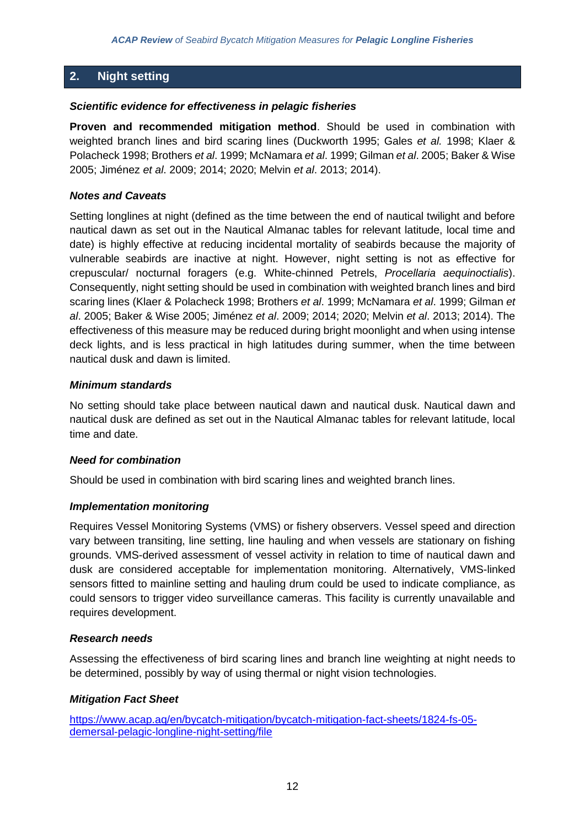# **2. Night setting**

### *Scientific evidence for effectiveness in pelagic fisheries*

**Proven and recommended mitigation method**. Should be used in combination with weighted branch lines and bird scaring lines (Duckworth 1995; Gales *et al.* 1998; Klaer & Polacheck 1998; Brothers *et al*. 1999; McNamara *et al*. 1999; Gilman *et al*. 2005; Baker & Wise 2005; Jiménez *et al*. 2009; 2014; 2020; Melvin *et al*. 2013; 2014).

### *Notes and Caveats*

Setting longlines at night (defined as the time between the end of nautical twilight and before nautical dawn as set out in the Nautical Almanac tables for relevant latitude, local time and date) is highly effective at reducing incidental mortality of seabirds because the majority of vulnerable seabirds are inactive at night. However, night setting is not as effective for crepuscular/ nocturnal foragers (e.g. White-chinned Petrels, *Procellaria aequinoctialis*). Consequently, night setting should be used in combination with weighted branch lines and bird scaring lines (Klaer & Polacheck 1998; Brothers *et al*. 1999; McNamara *et al*. 1999; Gilman *et al*. 2005; Baker & Wise 2005; Jiménez *et al*. 2009; 2014; 2020; Melvin *et al*. 2013; 2014). The effectiveness of this measure may be reduced during bright moonlight and when using intense deck lights, and is less practical in high latitudes during summer, when the time between nautical dusk and dawn is limited.

### *Minimum standards*

No setting should take place between nautical dawn and nautical dusk. Nautical dawn and nautical dusk are defined as set out in the Nautical Almanac tables for relevant latitude, local time and date.

#### *Need for combination*

Should be used in combination with bird scaring lines and weighted branch lines.

### *Implementation monitoring*

Requires Vessel Monitoring Systems (VMS) or fishery observers. Vessel speed and direction vary between transiting, line setting, line hauling and when vessels are stationary on fishing grounds. VMS-derived assessment of vessel activity in relation to time of nautical dawn and dusk are considered acceptable for implementation monitoring. Alternatively, VMS-linked sensors fitted to mainline setting and hauling drum could be used to indicate compliance, as could sensors to trigger video surveillance cameras. This facility is currently unavailable and requires development.

### *Research needs*

Assessing the effectiveness of bird scaring lines and branch line weighting at night needs to be determined, possibly by way of using thermal or night vision technologies.

### *Mitigation Fact Sheet*

[https://www.acap.aq/en/bycatch-mitigation/bycatch-mitigation-fact-sheets/1824-fs-05](https://www.acap.aq/en/bycatch-mitigation/bycatch-mitigation-fact-sheets/1824-fs-05-demersal-pelagic-longline-night-setting/file) [demersal-pelagic-longline-night-setting/file](https://www.acap.aq/en/bycatch-mitigation/bycatch-mitigation-fact-sheets/1824-fs-05-demersal-pelagic-longline-night-setting/file)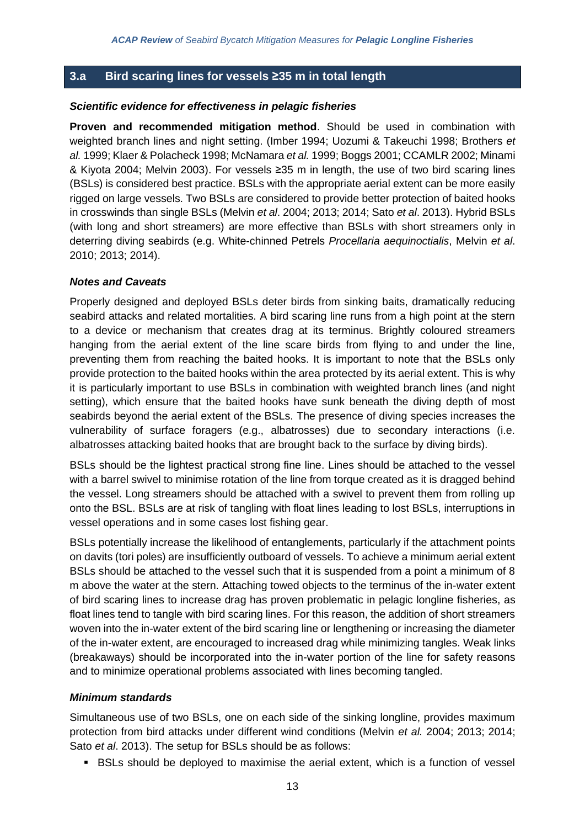# **3.a Bird scaring lines for vessels ≥35 m in total length**

### *Scientific evidence for effectiveness in pelagic fisheries*

**Proven and recommended mitigation method**. Should be used in combination with weighted branch lines and night setting. (Imber 1994; Uozumi & Takeuchi 1998; Brothers *et al.* 1999; Klaer & Polacheck 1998; McNamara *et al.* 1999; Boggs 2001; CCAMLR 2002; Minami & Kiyota 2004; Melvin 2003). For vessels ≥35 m in length, the use of two bird scaring lines (BSLs) is considered best practice. BSLs with the appropriate aerial extent can be more easily rigged on large vessels. Two BSLs are considered to provide better protection of baited hooks in crosswinds than single BSLs (Melvin *et al*. 2004; 2013; 2014; Sato *et al*. 2013). Hybrid BSLs (with long and short streamers) are more effective than BSLs with short streamers only in deterring diving seabirds (e.g. White-chinned Petrels *Procellaria aequinoctialis*, Melvin *et al*. 2010; 2013; 2014).

### *Notes and Caveats*

Properly designed and deployed BSLs deter birds from sinking baits, dramatically reducing seabird attacks and related mortalities. A bird scaring line runs from a high point at the stern to a device or mechanism that creates drag at its terminus. Brightly coloured streamers hanging from the aerial extent of the line scare birds from flying to and under the line, preventing them from reaching the baited hooks. It is important to note that the BSLs only provide protection to the baited hooks within the area protected by its aerial extent. This is why it is particularly important to use BSLs in combination with weighted branch lines (and night setting), which ensure that the baited hooks have sunk beneath the diving depth of most seabirds beyond the aerial extent of the BSLs. The presence of diving species increases the vulnerability of surface foragers (e.g., albatrosses) due to secondary interactions (i.e. albatrosses attacking baited hooks that are brought back to the surface by diving birds).

BSLs should be the lightest practical strong fine line. Lines should be attached to the vessel with a barrel swivel to minimise rotation of the line from torque created as it is dragged behind the vessel. Long streamers should be attached with a swivel to prevent them from rolling up onto the BSL. BSLs are at risk of tangling with float lines leading to lost BSLs, interruptions in vessel operations and in some cases lost fishing gear.

BSLs potentially increase the likelihood of entanglements, particularly if the attachment points on davits (tori poles) are insufficiently outboard of vessels. To achieve a minimum aerial extent BSLs should be attached to the vessel such that it is suspended from a point a minimum of 8 m above the water at the stern. Attaching towed objects to the terminus of the in-water extent of bird scaring lines to increase drag has proven problematic in pelagic longline fisheries, as float lines tend to tangle with bird scaring lines. For this reason, the addition of short streamers woven into the in-water extent of the bird scaring line or lengthening or increasing the diameter of the in-water extent, are encouraged to increased drag while minimizing tangles. Weak links (breakaways) should be incorporated into the in-water portion of the line for safety reasons and to minimize operational problems associated with lines becoming tangled.

### *Minimum standards*

Simultaneous use of two BSLs, one on each side of the sinking longline, provides maximum protection from bird attacks under different wind conditions (Melvin *et al.* 2004; 2013; 2014; Sato *et al*. 2013). The setup for BSLs should be as follows:

■ BSLs should be deployed to maximise the aerial extent, which is a function of vessel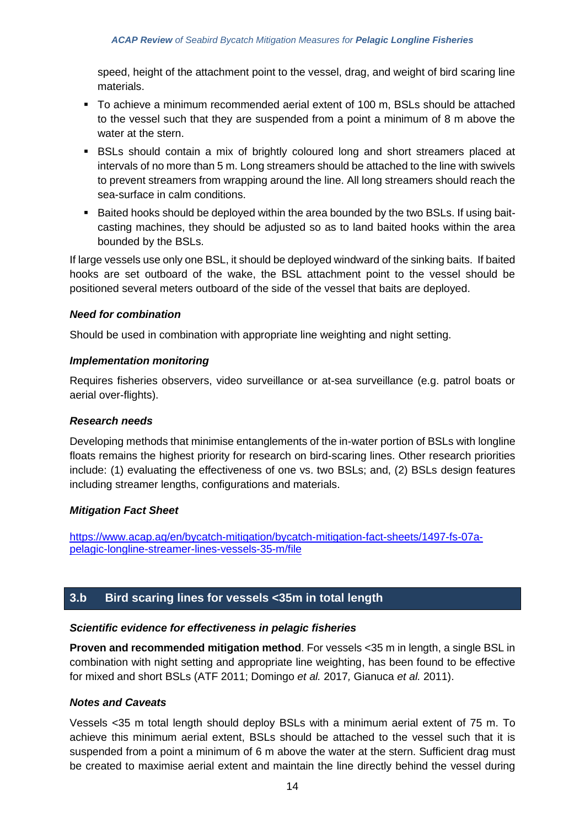speed, height of the attachment point to the vessel, drag, and weight of bird scaring line materials.

- To achieve a minimum recommended aerial extent of 100 m, BSLs should be attached to the vessel such that they are suspended from a point a minimum of 8 m above the water at the stern.
- BSLs should contain a mix of brightly coloured long and short streamers placed at intervals of no more than 5 m. Long streamers should be attached to the line with swivels to prevent streamers from wrapping around the line. All long streamers should reach the sea-surface in calm conditions.
- Baited hooks should be deployed within the area bounded by the two BSLs. If using baitcasting machines, they should be adjusted so as to land baited hooks within the area bounded by the BSLs.

If large vessels use only one BSL, it should be deployed windward of the sinking baits. If baited hooks are set outboard of the wake, the BSL attachment point to the vessel should be positioned several meters outboard of the side of the vessel that baits are deployed.

### *Need for combination*

Should be used in combination with appropriate line weighting and night setting.

### *Implementation monitoring*

Requires fisheries observers, video surveillance or at-sea surveillance (e.g. patrol boats or aerial over-flights).

### *Research needs*

Developing methods that minimise entanglements of the in-water portion of BSLs with longline floats remains the highest priority for research on bird-scaring lines. Other research priorities include: (1) evaluating the effectiveness of one vs. two BSLs; and, (2) BSLs design features including streamer lengths, configurations and materials.

### *Mitigation Fact Sheet*

[https://www.acap.aq/en/bycatch-mitigation/bycatch-mitigation-fact-sheets/1497-fs-07a](https://www.acap.aq/en/bycatch-mitigation/bycatch-mitigation-fact-sheets/1497-fs-07a-pelagic-longline-streamer-lines-vessels-35-m/file)[pelagic-longline-streamer-lines-vessels-35-m/file](https://www.acap.aq/en/bycatch-mitigation/bycatch-mitigation-fact-sheets/1497-fs-07a-pelagic-longline-streamer-lines-vessels-35-m/file)

# **3.b Bird scaring lines for vessels <35m in total length**

### *Scientific evidence for effectiveness in pelagic fisheries*

**Proven and recommended mitigation method**. For vessels <35 m in length, a single BSL in combination with night setting and appropriate line weighting, has been found to be effective for mixed and short BSLs (ATF 2011; Domingo *et al.* 2017*,* Gianuca *et al.* 2011).

### *Notes and Caveats*

Vessels <35 m total length should deploy BSLs with a minimum aerial extent of 75 m. To achieve this minimum aerial extent, BSLs should be attached to the vessel such that it is suspended from a point a minimum of 6 m above the water at the stern. Sufficient drag must be created to maximise aerial extent and maintain the line directly behind the vessel during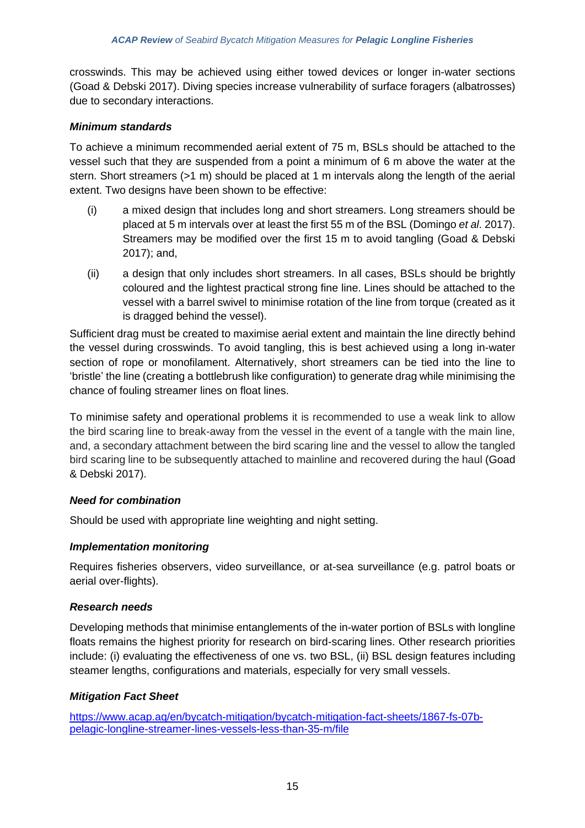crosswinds. This may be achieved using either towed devices or longer in-water sections (Goad & Debski 2017). Diving species increase vulnerability of surface foragers (albatrosses) due to secondary interactions.

# *Minimum standards*

To achieve a minimum recommended aerial extent of 75 m, BSLs should be attached to the vessel such that they are suspended from a point a minimum of 6 m above the water at the stern. Short streamers (>1 m) should be placed at 1 m intervals along the length of the aerial extent. Two designs have been shown to be effective:

- (i) a mixed design that includes long and short streamers. Long streamers should be placed at 5 m intervals over at least the first 55 m of the BSL (Domingo *et al*. 2017). Streamers may be modified over the first 15 m to avoid tangling (Goad & Debski 2017); and,
- (ii) a design that only includes short streamers. In all cases, BSLs should be brightly coloured and the lightest practical strong fine line. Lines should be attached to the vessel with a barrel swivel to minimise rotation of the line from torque (created as it is dragged behind the vessel).

Sufficient drag must be created to maximise aerial extent and maintain the line directly behind the vessel during crosswinds. To avoid tangling, this is best achieved using a long in-water section of rope or monofilament. Alternatively, short streamers can be tied into the line to 'bristle' the line (creating a bottlebrush like configuration) to generate drag while minimising the chance of fouling streamer lines on float lines.

To minimise safety and operational problems it is recommended to use a weak link to allow the bird scaring line to break-away from the vessel in the event of a tangle with the main line, and, a secondary attachment between the bird scaring line and the vessel to allow the tangled bird scaring line to be subsequently attached to mainline and recovered during the haul (Goad & Debski 2017).

### *Need for combination*

Should be used with appropriate line weighting and night setting.

# *Implementation monitoring*

Requires fisheries observers, video surveillance, or at-sea surveillance (e.g. patrol boats or aerial over-flights).

# *Research needs*

Developing methods that minimise entanglements of the in-water portion of BSLs with longline floats remains the highest priority for research on bird-scaring lines. Other research priorities include: (i) evaluating the effectiveness of one vs. two BSL, (ii) BSL design features including steamer lengths, configurations and materials, especially for very small vessels.

# *Mitigation Fact Sheet*

[https://www.acap.aq/en/bycatch-mitigation/bycatch-mitigation-fact-sheets/1867-fs-07b](https://www.acap.aq/en/bycatch-mitigation/bycatch-mitigation-fact-sheets/1867-fs-07b-pelagic-longline-streamer-lines-vessels-less-than-35-m/file)[pelagic-longline-streamer-lines-vessels-less-than-35-m/file](https://www.acap.aq/en/bycatch-mitigation/bycatch-mitigation-fact-sheets/1867-fs-07b-pelagic-longline-streamer-lines-vessels-less-than-35-m/file)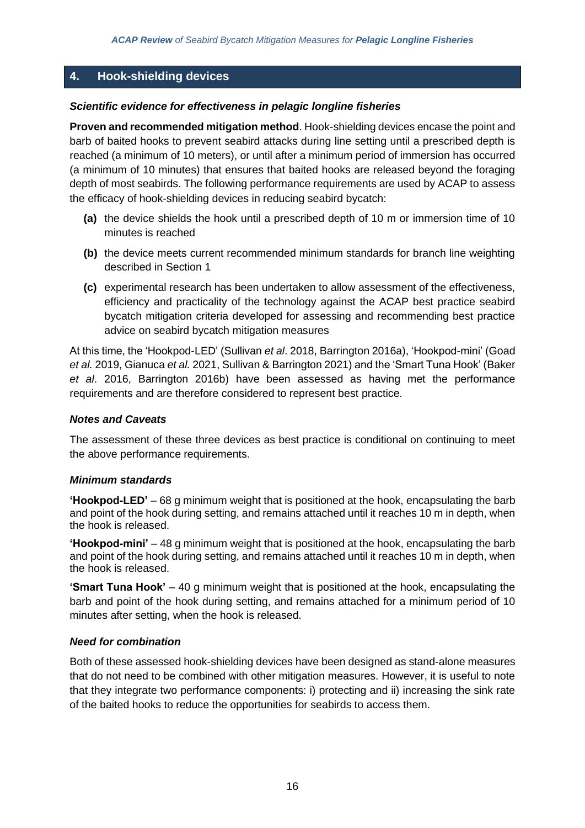# **4. Hook-shielding devices**

### *Scientific evidence for effectiveness in pelagic longline fisheries*

**Proven and recommended mitigation method**. Hook-shielding devices encase the point and barb of baited hooks to prevent seabird attacks during line setting until a prescribed depth is reached (a minimum of 10 meters), or until after a minimum period of immersion has occurred (a minimum of 10 minutes) that ensures that baited hooks are released beyond the foraging depth of most seabirds. The following performance requirements are used by ACAP to assess the efficacy of hook-shielding devices in reducing seabird bycatch:

- **(a)** the device shields the hook until a prescribed depth of 10 m or immersion time of 10 minutes is reached
- **(b)** the device meets current recommended minimum standards for branch line weighting described in Section 1
- **(c)** experimental research has been undertaken to allow assessment of the effectiveness, efficiency and practicality of the technology against the ACAP best practice seabird bycatch mitigation criteria developed for assessing and recommending best practice advice on seabird bycatch mitigation measures

At this time, the 'Hookpod-LED' (Sullivan *et al*. 2018, Barrington 2016a), 'Hookpod-mini' (Goad *et al.* 2019, Gianuca *et al.* 2021, Sullivan & Barrington 2021) and the 'Smart Tuna Hook' (Baker *et al*. 2016, Barrington 2016b) have been assessed as having met the performance requirements and are therefore considered to represent best practice.

### *Notes and Caveats*

The assessment of these three devices as best practice is conditional on continuing to meet the above performance requirements.

#### *Minimum standards*

**'Hookpod-LED'** – 68 g minimum weight that is positioned at the hook, encapsulating the barb and point of the hook during setting, and remains attached until it reaches 10 m in depth, when the hook is released.

**'Hookpod-mini'** – 48 g minimum weight that is positioned at the hook, encapsulating the barb and point of the hook during setting, and remains attached until it reaches 10 m in depth, when the hook is released.

**'Smart Tuna Hook'** – 40 g minimum weight that is positioned at the hook, encapsulating the barb and point of the hook during setting, and remains attached for a minimum period of 10 minutes after setting, when the hook is released.

### *Need for combination*

Both of these assessed hook-shielding devices have been designed as stand-alone measures that do not need to be combined with other mitigation measures. However, it is useful to note that they integrate two performance components: i) protecting and ii) increasing the sink rate of the baited hooks to reduce the opportunities for seabirds to access them.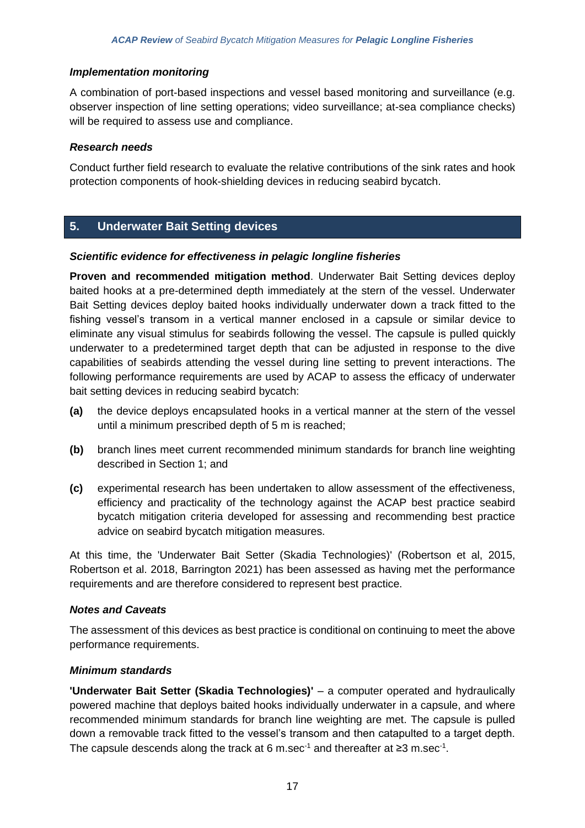# *Implementation monitoring*

A combination of port-based inspections and vessel based monitoring and surveillance (e.g. observer inspection of line setting operations; video surveillance; at-sea compliance checks) will be required to assess use and compliance.

### *Research needs*

Conduct further field research to evaluate the relative contributions of the sink rates and hook protection components of hook-shielding devices in reducing seabird bycatch.

# **5. Underwater Bait Setting devices**

### *Scientific evidence for effectiveness in pelagic longline fisheries*

**Proven and recommended mitigation method**. Underwater Bait Setting devices deploy baited hooks at a pre-determined depth immediately at the stern of the vessel. Underwater Bait Setting devices deploy baited hooks individually underwater down a track fitted to the fishing vessel's transom in a vertical manner enclosed in a capsule or similar device to eliminate any visual stimulus for seabirds following the vessel. The capsule is pulled quickly underwater to a predetermined target depth that can be adjusted in response to the dive capabilities of seabirds attending the vessel during line setting to prevent interactions. The following performance requirements are used by ACAP to assess the efficacy of underwater bait setting devices in reducing seabird bycatch:

- **(a)** the device deploys encapsulated hooks in a vertical manner at the stern of the vessel until a minimum prescribed depth of 5 m is reached;
- **(b)** branch lines meet current recommended minimum standards for branch line weighting described in Section 1; and
- **(c)** experimental research has been undertaken to allow assessment of the effectiveness, efficiency and practicality of the technology against the ACAP best practice seabird bycatch mitigation criteria developed for assessing and recommending best practice advice on seabird bycatch mitigation measures.

At this time, the 'Underwater Bait Setter (Skadia Technologies)' (Robertson et al, 2015, Robertson et al. 2018, Barrington 2021) has been assessed as having met the performance requirements and are therefore considered to represent best practice.

### *Notes and Caveats*

The assessment of this devices as best practice is conditional on continuing to meet the above performance requirements.

### *Minimum standards*

**'Underwater Bait Setter (Skadia Technologies)'** – a computer operated and hydraulically powered machine that deploys baited hooks individually underwater in a capsule, and where recommended minimum standards for branch line weighting are met. The capsule is pulled down a removable track fitted to the vessel's transom and then catapulted to a target depth. The capsule descends along the track at 6 m.sec<sup>-1</sup> and thereafter at ≥3 m.sec<sup>-1</sup>.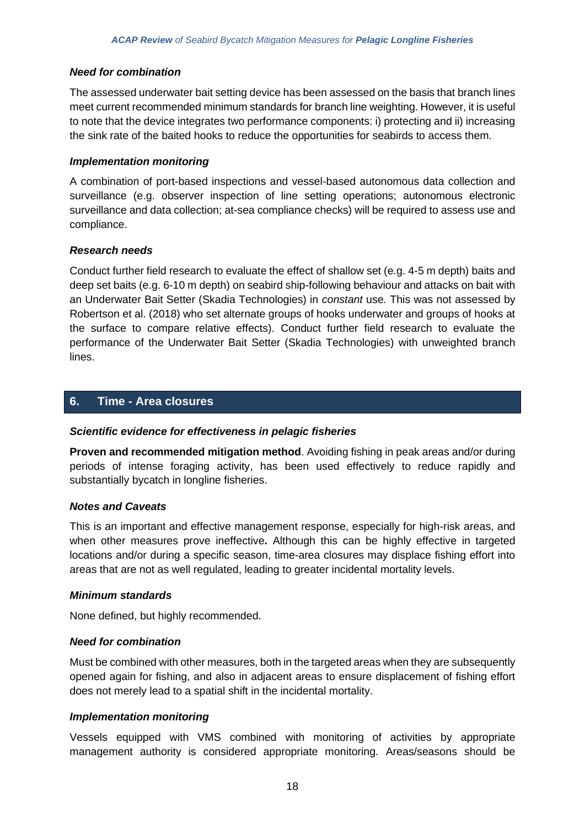### *Need for combination*

The assessed underwater bait setting device has been assessed on the basis that branch lines meet current recommended minimum standards for branch line weighting. However, it is useful to note that the device integrates two performance components: i) protecting and ii) increasing the sink rate of the baited hooks to reduce the opportunities for seabirds to access them.

### *Implementation monitoring*

A combination of port-based inspections and vessel-based autonomous data collection and surveillance (e.g. observer inspection of line setting operations; autonomous electronic surveillance and data collection; at-sea compliance checks) will be required to assess use and compliance.

### *Research needs*

Conduct further field research to evaluate the effect of shallow set (e.g. 4-5 m depth) baits and deep set baits (e.g. 6-10 m depth) on seabird ship-following behaviour and attacks on bait with an Underwater Bait Setter (Skadia Technologies) in *constant* use*.* This was not assessed by Robertson et al. (2018) who set alternate groups of hooks underwater and groups of hooks at the surface to compare relative effects). Conduct further field research to evaluate the performance of the Underwater Bait Setter (Skadia Technologies) with unweighted branch lines.

### **6. Time - Area closures**

### *Scientific evidence for effectiveness in pelagic fisheries*

**Proven and recommended mitigation method**. Avoiding fishing in peak areas and/or during periods of intense foraging activity, has been used effectively to reduce rapidly and substantially bycatch in longline fisheries.

### *Notes and Caveats*

This is an important and effective management response, especially for high-risk areas, and when other measures prove ineffective**.** Although this can be highly effective in targeted locations and/or during a specific season, time-area closures may displace fishing effort into areas that are not as well regulated, leading to greater incidental mortality levels.

### *Minimum standards*

None defined, but highly recommended.

### *Need for combination*

Must be combined with other measures, both in the targeted areas when they are subsequently opened again for fishing, and also in adjacent areas to ensure displacement of fishing effort does not merely lead to a spatial shift in the incidental mortality.

# *Implementation monitoring*

Vessels equipped with VMS combined with monitoring of activities by appropriate management authority is considered appropriate monitoring. Areas/seasons should be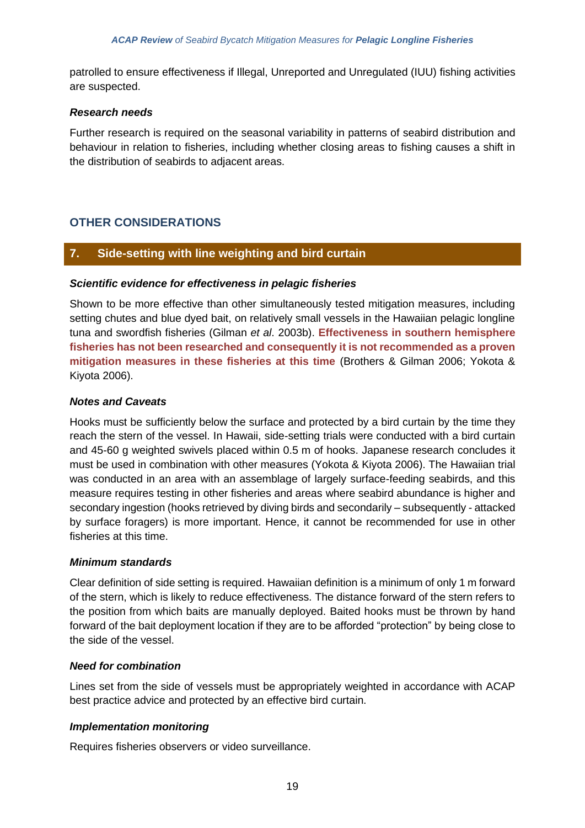patrolled to ensure effectiveness if Illegal, Unreported and Unregulated (IUU) fishing activities are suspected.

### *Research needs*

Further research is required on the seasonal variability in patterns of seabird distribution and behaviour in relation to fisheries, including whether closing areas to fishing causes a shift in the distribution of seabirds to adjacent areas.

# **OTHER CONSIDERATIONS**

# **7. Side-setting with line weighting and bird curtain**

### *Scientific evidence for effectiveness in pelagic fisheries*

Shown to be more effective than other simultaneously tested mitigation measures, including setting chutes and blue dyed bait, on relatively small vessels in the Hawaiian pelagic longline tuna and swordfish fisheries (Gilman *et al*. 2003b). **Effectiveness in southern hemisphere fisheries has not been researched and consequently it is not recommended as a proven mitigation measures in these fisheries at this time** (Brothers & Gilman 2006; Yokota & Kiyota 2006).

### *Notes and Caveats*

Hooks must be sufficiently below the surface and protected by a bird curtain by the time they reach the stern of the vessel. In Hawaii, side-setting trials were conducted with a bird curtain and 45-60 g weighted swivels placed within 0.5 m of hooks. Japanese research concludes it must be used in combination with other measures (Yokota & Kiyota 2006). The Hawaiian trial was conducted in an area with an assemblage of largely surface-feeding seabirds, and this measure requires testing in other fisheries and areas where seabird abundance is higher and secondary ingestion (hooks retrieved by diving birds and secondarily – subsequently - attacked by surface foragers) is more important. Hence, it cannot be recommended for use in other fisheries at this time.

### *Minimum standards*

Clear definition of side setting is required. Hawaiian definition is a minimum of only 1 m forward of the stern, which is likely to reduce effectiveness. The distance forward of the stern refers to the position from which baits are manually deployed. Baited hooks must be thrown by hand forward of the bait deployment location if they are to be afforded "protection" by being close to the side of the vessel.

### *Need for combination*

Lines set from the side of vessels must be appropriately weighted in accordance with ACAP best practice advice and protected by an effective bird curtain.

# *Implementation monitoring*

Requires fisheries observers or video surveillance.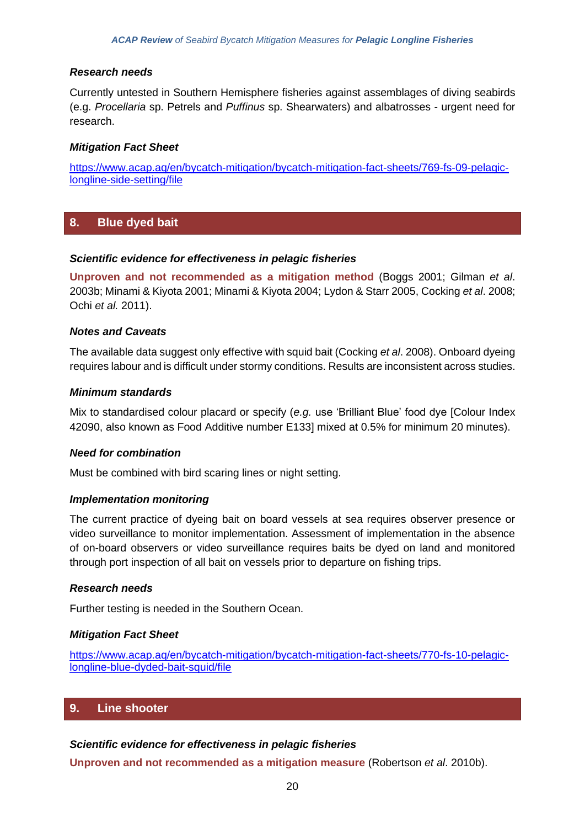# *Research needs*

Currently untested in Southern Hemisphere fisheries against assemblages of diving seabirds (e.g. *Procellaria* sp. Petrels and *Puffinus* sp. Shearwaters) and albatrosses - urgent need for research.

### *Mitigation Fact Sheet*

[https://www.acap.aq/en/bycatch-mitigation/bycatch-mitigation-fact-sheets/769-fs-09-pelagic](https://www.acap.aq/en/bycatch-mitigation/bycatch-mitigation-fact-sheets/769-fs-09-pelagic-longline-side-setting/file)[longline-side-setting/file](https://www.acap.aq/en/bycatch-mitigation/bycatch-mitigation-fact-sheets/769-fs-09-pelagic-longline-side-setting/file)

# **8. Blue dyed bait**

### *Scientific evidence for effectiveness in pelagic fisheries*

**Unproven and not recommended as a mitigation method** (Boggs 2001; Gilman *et al*. 2003b; Minami & Kiyota 2001; Minami & Kiyota 2004; Lydon & Starr 2005, Cocking *et al*. 2008; Ochi *et al.* 2011).

### *Notes and Caveats*

The available data suggest only effective with squid bait (Cocking *et al*. 2008). Onboard dyeing requires labour and is difficult under stormy conditions. Results are inconsistent across studies.

### *Minimum standards*

Mix to standardised colour placard or specify (*e.g.* use 'Brilliant Blue' food dye [Colour Index 42090, also known as Food Additive number E133] mixed at 0.5% for minimum 20 minutes).

### *Need for combination*

Must be combined with bird scaring lines or night setting.

### *Implementation monitoring*

The current practice of dyeing bait on board vessels at sea requires observer presence or video surveillance to monitor implementation. Assessment of implementation in the absence of on-board observers or video surveillance requires baits be dyed on land and monitored through port inspection of all bait on vessels prior to departure on fishing trips.

### *Research needs*

Further testing is needed in the Southern Ocean.

#### *Mitigation Fact Sheet*

[https://www.acap.aq/en/bycatch-mitigation/bycatch-mitigation-fact-sheets/770-fs-10-pelagic](https://www.acap.aq/en/bycatch-mitigation/bycatch-mitigation-fact-sheets/770-fs-10-pelagic-longline-blue-dyded-bait-squid/file)[longline-blue-dyded-bait-squid/file](https://www.acap.aq/en/bycatch-mitigation/bycatch-mitigation-fact-sheets/770-fs-10-pelagic-longline-blue-dyded-bait-squid/file)

# **9. Line shooter**

### *Scientific evidence for effectiveness in pelagic fisheries*

**Unproven and not recommended as a mitigation measure** (Robertson *et al*. 2010b).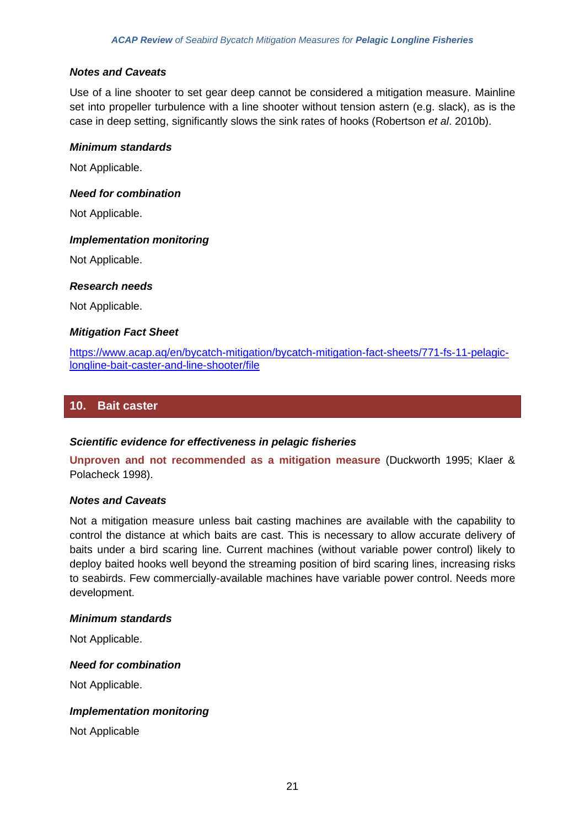### *Notes and Caveats*

Use of a line shooter to set gear deep cannot be considered a mitigation measure. Mainline set into propeller turbulence with a line shooter without tension astern (e.g. slack), as is the case in deep setting, significantly slows the sink rates of hooks (Robertson *et al*. 2010b).

### *Minimum standards*

Not Applicable.

### *Need for combination*

Not Applicable.

### *Implementation monitoring*

Not Applicable.

### *Research needs*

Not Applicable.

### *Mitigation Fact Sheet*

[https://www.acap.aq/en/bycatch-mitigation/bycatch-mitigation-fact-sheets/771-fs-11-pelagic](https://www.acap.aq/en/bycatch-mitigation/bycatch-mitigation-fact-sheets/771-fs-11-pelagic-longline-bait-caster-and-line-shooter/file)[longline-bait-caster-and-line-shooter/file](https://www.acap.aq/en/bycatch-mitigation/bycatch-mitigation-fact-sheets/771-fs-11-pelagic-longline-bait-caster-and-line-shooter/file)

### **10. Bait caster**

### *Scientific evidence for effectiveness in pelagic fisheries*

**Unproven and not recommended as a mitigation measure** (Duckworth 1995; Klaer & Polacheck 1998).

### *Notes and Caveats*

Not a mitigation measure unless bait casting machines are available with the capability to control the distance at which baits are cast. This is necessary to allow accurate delivery of baits under a bird scaring line. Current machines (without variable power control) likely to deploy baited hooks well beyond the streaming position of bird scaring lines, increasing risks to seabirds. Few commercially-available machines have variable power control. Needs more development.

#### *Minimum standards*

Not Applicable.

### *Need for combination*

Not Applicable.

### *Implementation monitoring*

Not Applicable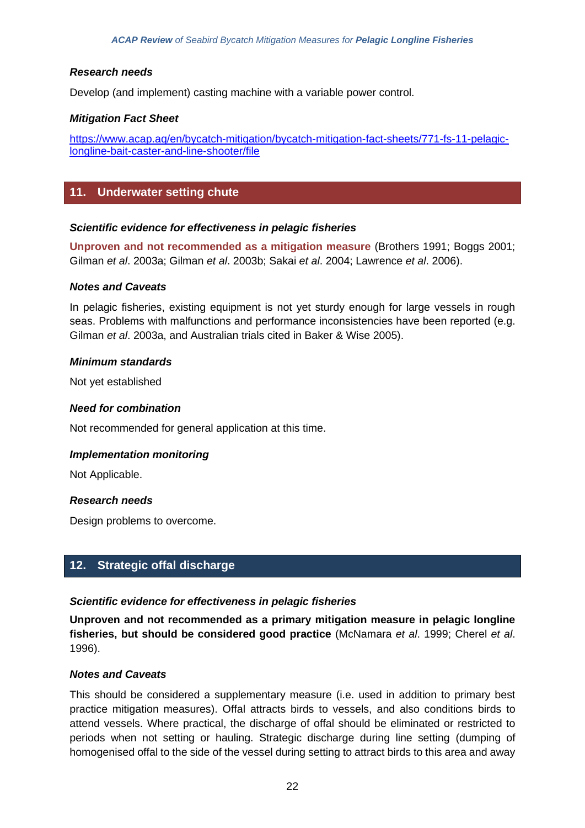### *Research needs*

Develop (and implement) casting machine with a variable power control.

### *Mitigation Fact Sheet*

[https://www.acap.aq/en/bycatch-mitigation/bycatch-mitigation-fact-sheets/771-fs-11-pelagic](https://www.acap.aq/en/bycatch-mitigation/bycatch-mitigation-fact-sheets/771-fs-11-pelagic-longline-bait-caster-and-line-shooter/file)[longline-bait-caster-and-line-shooter/file](https://www.acap.aq/en/bycatch-mitigation/bycatch-mitigation-fact-sheets/771-fs-11-pelagic-longline-bait-caster-and-line-shooter/file)

# **11. Underwater setting chute**

### *Scientific evidence for effectiveness in pelagic fisheries*

**Unproven and not recommended as a mitigation measure** (Brothers 1991; Boggs 2001; Gilman *et al*. 2003a; Gilman *et al*. 2003b; Sakai *et al*. 2004; Lawrence *et al*. 2006).

### *Notes and Caveats*

In pelagic fisheries, existing equipment is not yet sturdy enough for large vessels in rough seas. Problems with malfunctions and performance inconsistencies have been reported (e.g. Gilman *et al*. 2003a, and Australian trials cited in Baker & Wise 2005).

### *Minimum standards*

Not yet established

### *Need for combination*

Not recommended for general application at this time.

#### *Implementation monitoring*

Not Applicable.

### *Research needs*

Design problems to overcome.

# **12. Strategic offal discharge**

### *Scientific evidence for effectiveness in pelagic fisheries*

**Unproven and not recommended as a primary mitigation measure in pelagic longline fisheries, but should be considered good practice** (McNamara *et al*. 1999; Cherel *et al*. 1996).

#### *Notes and Caveats*

This should be considered a supplementary measure (i.e. used in addition to primary best practice mitigation measures). Offal attracts birds to vessels, and also conditions birds to attend vessels. Where practical, the discharge of offal should be eliminated or restricted to periods when not setting or hauling. Strategic discharge during line setting (dumping of homogenised offal to the side of the vessel during setting to attract birds to this area and away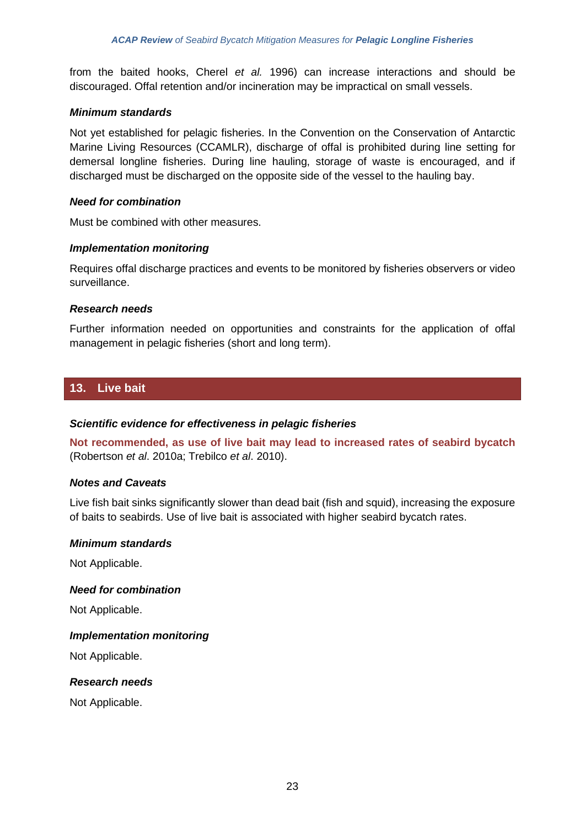from the baited hooks, Cherel *et al.* 1996) can increase interactions and should be discouraged. Offal retention and/or incineration may be impractical on small vessels.

### *Minimum standards*

Not yet established for pelagic fisheries. In the Convention on the Conservation of Antarctic Marine Living Resources (CCAMLR), discharge of offal is prohibited during line setting for demersal longline fisheries. During line hauling, storage of waste is encouraged, and if discharged must be discharged on the opposite side of the vessel to the hauling bay.

### *Need for combination*

Must be combined with other measures.

### *Implementation monitoring*

Requires offal discharge practices and events to be monitored by fisheries observers or video surveillance.

### *Research needs*

Further information needed on opportunities and constraints for the application of offal management in pelagic fisheries (short and long term).

### **13. Live bait**

### *Scientific evidence for effectiveness in pelagic fisheries*

**Not recommended, as use of live bait may lead to increased rates of seabird bycatch** (Robertson *et al*. 2010a; Trebilco *et al*. 2010).

#### *Notes and Caveats*

Live fish bait sinks significantly slower than dead bait (fish and squid), increasing the exposure of baits to seabirds. Use of live bait is associated with higher seabird bycatch rates.

#### *Minimum standards*

Not Applicable.

#### *Need for combination*

Not Applicable.

### *Implementation monitoring*

Not Applicable.

### *Research needs*

Not Applicable.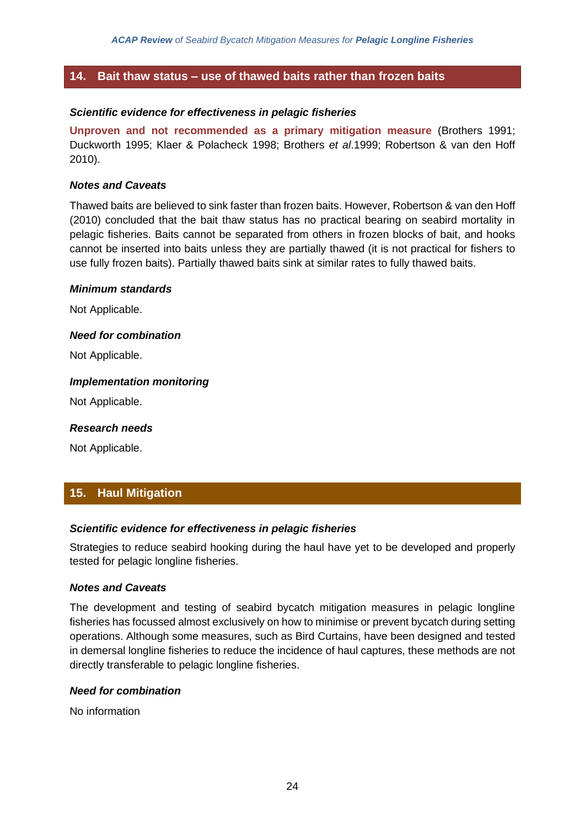# **14. Bait thaw status – use of thawed baits rather than frozen baits**

### *Scientific evidence for effectiveness in pelagic fisheries*

**Unproven and not recommended as a primary mitigation measure** (Brothers 1991; Duckworth 1995; Klaer & Polacheck 1998; Brothers *et al*.1999; Robertson & van den Hoff 2010).

#### *Notes and Caveats*

Thawed baits are believed to sink faster than frozen baits. However, Robertson & van den Hoff (2010) concluded that the bait thaw status has no practical bearing on seabird mortality in pelagic fisheries. Baits cannot be separated from others in frozen blocks of bait, and hooks cannot be inserted into baits unless they are partially thawed (it is not practical for fishers to use fully frozen baits). Partially thawed baits sink at similar rates to fully thawed baits.

#### *Minimum standards*

Not Applicable.

### *Need for combination*

Not Applicable.

### *Implementation monitoring*

Not Applicable.

#### *Research needs*

Not Applicable.

# **15. Haul Mitigation**

### *Scientific evidence for effectiveness in pelagic fisheries*

Strategies to reduce seabird hooking during the haul have yet to be developed and properly tested for pelagic longline fisheries.

### *Notes and Caveats*

The development and testing of seabird bycatch mitigation measures in pelagic longline fisheries has focussed almost exclusively on how to minimise or prevent bycatch during setting operations. Although some measures, such as Bird Curtains, have been designed and tested in demersal longline fisheries to reduce the incidence of haul captures, these methods are not directly transferable to pelagic longline fisheries.

#### *Need for combination*

No information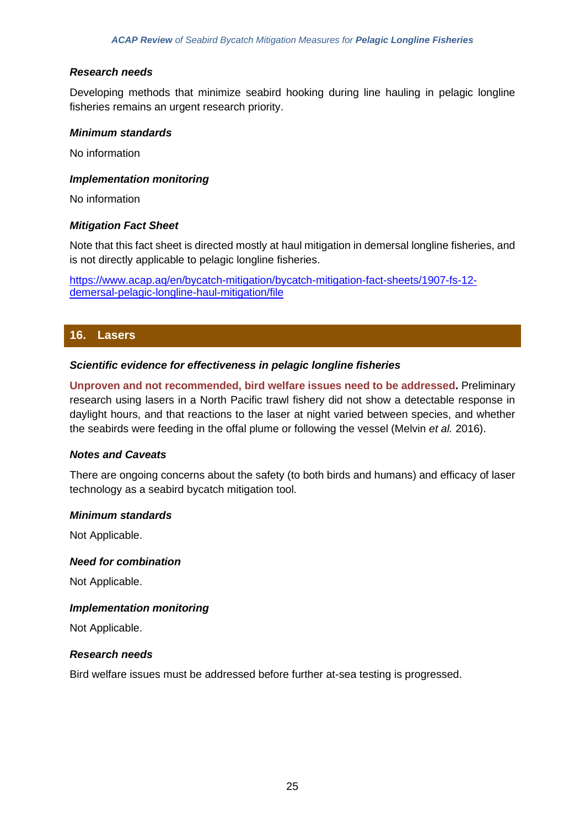### *Research needs*

Developing methods that minimize seabird hooking during line hauling in pelagic longline fisheries remains an urgent research priority.

### *Minimum standards*

No information

### *Implementation monitoring*

No information

### *Mitigation Fact Sheet*

Note that this fact sheet is directed mostly at haul mitigation in demersal longline fisheries, and is not directly applicable to pelagic longline fisheries.

[https://www.acap.aq/en/bycatch-mitigation/bycatch-mitigation-fact-sheets/1907-fs-12](https://www.acap.aq/en/bycatch-mitigation/bycatch-mitigation-fact-sheets/1907-fs-12-demersal-pelagic-longline-haul-mitigation/file) [demersal-pelagic-longline-haul-mitigation/file](https://www.acap.aq/en/bycatch-mitigation/bycatch-mitigation-fact-sheets/1907-fs-12-demersal-pelagic-longline-haul-mitigation/file)

# **16. Lasers**

### *Scientific evidence for effectiveness in pelagic longline fisheries*

**Unproven and not recommended, bird welfare issues need to be addressed.** Preliminary research using lasers in a North Pacific trawl fishery did not show a detectable response in daylight hours, and that reactions to the laser at night varied between species, and whether the seabirds were feeding in the offal plume or following the vessel (Melvin *et al.* 2016).

#### *Notes and Caveats*

There are ongoing concerns about the safety (to both birds and humans) and efficacy of laser technology as a seabird bycatch mitigation tool.

#### *Minimum standards*

Not Applicable.

#### *Need for combination*

Not Applicable.

### *Implementation monitoring*

Not Applicable.

### *Research needs*

Bird welfare issues must be addressed before further at-sea testing is progressed.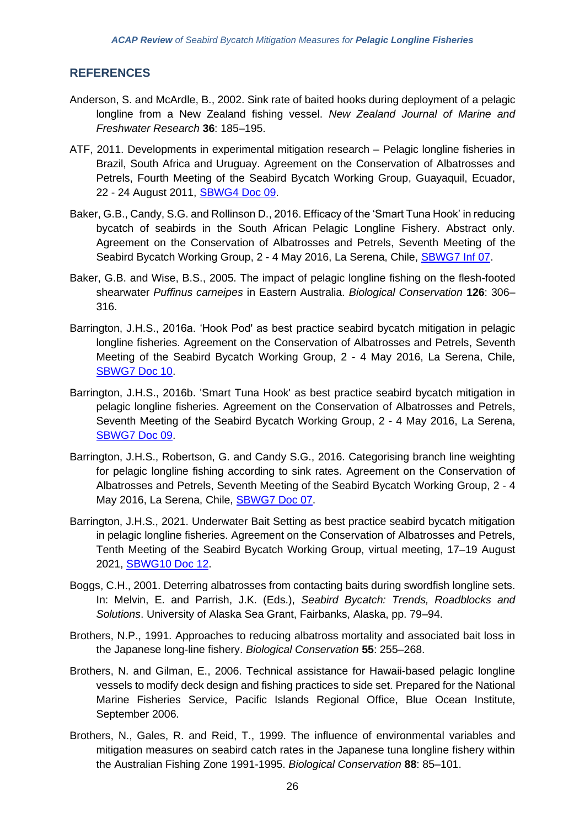# **REFERENCES**

- Anderson, S. and McArdle, B., 2002. Sink rate of baited hooks during deployment of a pelagic longline from a New Zealand fishing vessel. *New Zealand Journal of Marine and Freshwater Research* **36**: 185–195.
- ATF, 2011. Developments in experimental mitigation research Pelagic longline fisheries in Brazil, South Africa and Uruguay. Agreement on the Conservation of Albatrosses and Petrels, Fourth Meeting of the Seabird Bycatch Working Group, Guayaquil, Ecuador, 22 - 24 August 2011, [SBWG4 Doc 09.](https://www.acap.aq/en/working-groups/seabird-bycatch-working-group/seabird-bycatch-wg-meeting-4/sbwg4-meeting-documents/1334-sbwg-4-doc-09-pelagic-ll-fisheries-in-brazil-rsa-uruguay/file)
- Baker, G.B., Candy, S.G. and Rollinson D., 2016. Efficacy of the 'Smart Tuna Hook' in reducing bycatch of seabirds in the South African Pelagic Longline Fishery. Abstract only. Agreement on the Conservation of Albatrosses and Petrels, Seventh Meeting of the Seabird Bycatch Working Group, 2 - 4 May 2016, La Serena, Chile, [SBWG7 Inf 07.](https://www.acap.aq/en/working-groups/seabird-bycatch-working-group/seabird-bycatch-wg-meeting-7/sbwg7-information-papers/2719-sbwg7-inf-07-efficacy-of-the-smart-tuna-hook-in-reducing-bycatch-of-seabirds-in-the-south-african-pelagic-longline-fishery/file)
- Baker, G.B. and Wise, B.S., 2005. The impact of pelagic longline fishing on the flesh-footed shearwater *Puffinus carneipes* in Eastern Australia. *Biological Conservation* **126**: 306– 316.
- Barrington, J.H.S., 2016a. 'Hook Pod' as best practice seabird bycatch mitigation in pelagic longline fisheries. Agreement on the Conservation of Albatrosses and Petrels, Seventh Meeting of the Seabird Bycatch Working Group, 2 - 4 May 2016, La Serena, Chile, [SBWG7 Doc 10.](https://www.acap.aq/en/working-groups/seabird-bycatch-working-group/seabird-bycatch-wg-meeting-7/sbwg7-meeting-documents/2691-sbwg7-doc-10-hook-pod-as-best-practice-seabird-bycatch-mitigation-in-pelagic-longline-fisheries/file)
- Barrington, J.H.S., 2016b. 'Smart Tuna Hook' as best practice seabird bycatch mitigation in pelagic longline fisheries. Agreement on the Conservation of Albatrosses and Petrels, Seventh Meeting of the Seabird Bycatch Working Group, 2 - 4 May 2016, La Serena, [SBWG7 Doc 09.](https://www.acap.aq/en/working-groups/seabird-bycatch-working-group/seabird-bycatch-wg-meeting-7/sbwg7-meeting-documents/2689-sbwg7-doc-09-smart-tuna-hook-as-best-practice-seabird-bycatch-mitigation-in-pelagic-longline-fisheries/file)
- Barrington, J.H.S., Robertson, G. and Candy S.G., 2016. Categorising branch line weighting for pelagic longline fishing according to sink rates. Agreement on the Conservation of Albatrosses and Petrels, Seventh Meeting of the Seabird Bycatch Working Group, 2 - 4 May 2016, La Serena, Chile, [SBWG7 Doc 07.](https://www.acap.aq/en/working-groups/seabird-bycatch-working-group/seabird-bycatch-wg-meeting-7/sbwg7-meeting-documents/2686-sbwg7-doc-07-categorising-branch-line-weighting-for-pelagic-longline-fishing-according-to-sink-rates/file)
- Barrington, J.H.S., 2021. Underwater Bait Setting as best practice seabird bycatch mitigation in pelagic longline fisheries. Agreement on the Conservation of Albatrosses and Petrels, Tenth Meeting of the Seabird Bycatch Working Group, virtual meeting, 17–19 August 2021, [SBWG10 Doc 12.](https://www.acap.aq/working-groups/seabird-bycatch-working-group/sbwg-10/sbwg10-meeting-documents/3791-sbwg10-doc-12-underwater-bait-setting-as-best-practice-summary/file)
- Boggs, C.H., 2001. Deterring albatrosses from contacting baits during swordfish longline sets. In: Melvin, E. and Parrish, J.K. (Eds.), *Seabird Bycatch: Trends, Roadblocks and Solutions*. University of Alaska Sea Grant, Fairbanks, Alaska, pp. 79–94.
- Brothers, N.P., 1991. Approaches to reducing albatross mortality and associated bait loss in the Japanese long-line fishery. *Biological Conservation* **55**: 255–268.
- Brothers, N. and Gilman, E., 2006. Technical assistance for Hawaii-based pelagic longline vessels to modify deck design and fishing practices to side set. Prepared for the National Marine Fisheries Service, Pacific Islands Regional Office, Blue Ocean Institute, September 2006.
- Brothers, N., Gales, R. and Reid, T., 1999. The influence of environmental variables and mitigation measures on seabird catch rates in the Japanese tuna longline fishery within the Australian Fishing Zone 1991-1995. *Biological Conservation* **88**: 85–101.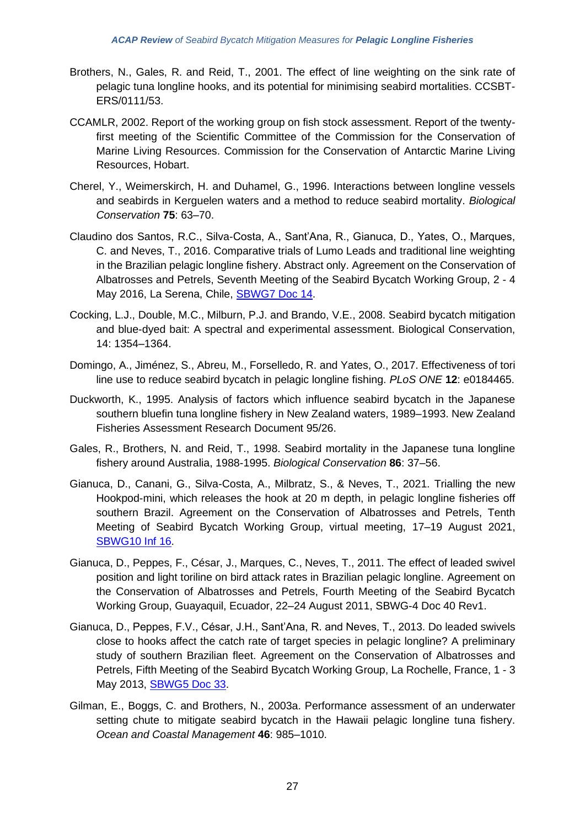- Brothers, N., Gales, R. and Reid, T., 2001. The effect of line weighting on the sink rate of pelagic tuna longline hooks, and its potential for minimising seabird mortalities. CCSBT-ERS/0111/53.
- CCAMLR, 2002. Report of the working group on fish stock assessment. Report of the twentyfirst meeting of the Scientific Committee of the Commission for the Conservation of Marine Living Resources. Commission for the Conservation of Antarctic Marine Living Resources, Hobart.
- Cherel, Y., Weimerskirch, H. and Duhamel, G., 1996. Interactions between longline vessels and seabirds in Kerguelen waters and a method to reduce seabird mortality. *Biological Conservation* **75**: 63–70.
- Claudino dos Santos, R.C., Silva-Costa, A., Sant'Ana, R., Gianuca, D., Yates, O., Marques, C. and Neves, T., 2016. Comparative trials of Lumo Leads and traditional line weighting in the Brazilian pelagic longline fishery. Abstract only. Agreement on the Conservation of Albatrosses and Petrels, Seventh Meeting of the Seabird Bycatch Working Group, 2 - 4 May 2016, La Serena, Chile, [SBWG7 Doc](https://www.acap.aq/en/working-groups/seabird-bycatch-working-group/seabird-bycatch-wg-meeting-7/sbwg7-meeting-documents/2697-sbwg7-doc-14-comparative-trails-of-lumo-leads-and-traditional-line-weighting-in-the-brazilian-pelagic-longline-fishery-summary-only/file) 14.
- Cocking, L.J., Double, M.C., Milburn, P.J. and Brando, V.E., 2008. Seabird bycatch mitigation and blue-dyed bait: A spectral and experimental assessment. Biological Conservation, 14: 1354–1364.
- Domingo, A., Jiménez, S., Abreu, M., Forselledo, R. and Yates, O., 2017. Effectiveness of tori line use to reduce seabird bycatch in pelagic longline fishing. *PLoS ONE* **12**: e0184465.
- Duckworth, K., 1995. Analysis of factors which influence seabird bycatch in the Japanese southern bluefin tuna longline fishery in New Zealand waters, 1989–1993. New Zealand Fisheries Assessment Research Document 95/26.
- Gales, R., Brothers, N. and Reid, T., 1998. Seabird mortality in the Japanese tuna longline fishery around Australia, 1988-1995. *Biological Conservation* **86**: 37–56.
- Gianuca, D., Canani, G., Silva-Costa, A., Milbratz, S., & Neves, T., 2021. Trialling the new Hookpod-mini, which releases the hook at 20 m depth, in pelagic longline fisheries off southern Brazil. Agreement on the Conservation of Albatrosses and Petrels, Tenth Meeting of Seabird Bycatch Working Group, virtual meeting, 17–19 August 2021, [SBWG10 Inf 16.](https://www.acap.aq/working-groups/seabird-bycatch-working-group/sbwg-10/sbwg10-information-papers/3867-sbwg10-inf-16-hookpod-mini-configured-to-open-at-20-m-depth-in-southern-brazil/file)
- Gianuca, D., Peppes, F., César, J., Marques, C., Neves, T., 2011. The effect of leaded swivel position and light toriline on bird attack rates in Brazilian pelagic longline. Agreement on the Conservation of Albatrosses and Petrels, Fourth Meeting of the Seabird Bycatch Working Group, Guayaquil, Ecuador, 22–24 August 2011, SBWG-4 Doc 40 Rev1.
- Gianuca, D., Peppes, F.V., César, J.H., Sant'Ana, R. and Neves, T., 2013. Do leaded swivels close to hooks affect the catch rate of target species in pelagic longline? A preliminary study of southern Brazilian fleet. Agreement on the Conservation of Albatrosses and Petrels, Fifth Meeting of the Seabird Bycatch Working Group, La Rochelle, France, 1 - 3 May 2013, [SBWG5 Doc 33.](https://www.acap.aq/en/working-groups/seabird-bycatch-working-group/seabird-bycatch-wg-meeting-5/2055-sbwg5-doc-33-do-leaded-swivels-close-to-hooks-affect-the-catch-rate-of-target-species-in-pelagic-longline/file)
- Gilman, E., Boggs, C. and Brothers, N., 2003a. Performance assessment of an underwater setting chute to mitigate seabird bycatch in the Hawaii pelagic longline tuna fishery. *Ocean and Coastal Management* **46**: 985–1010.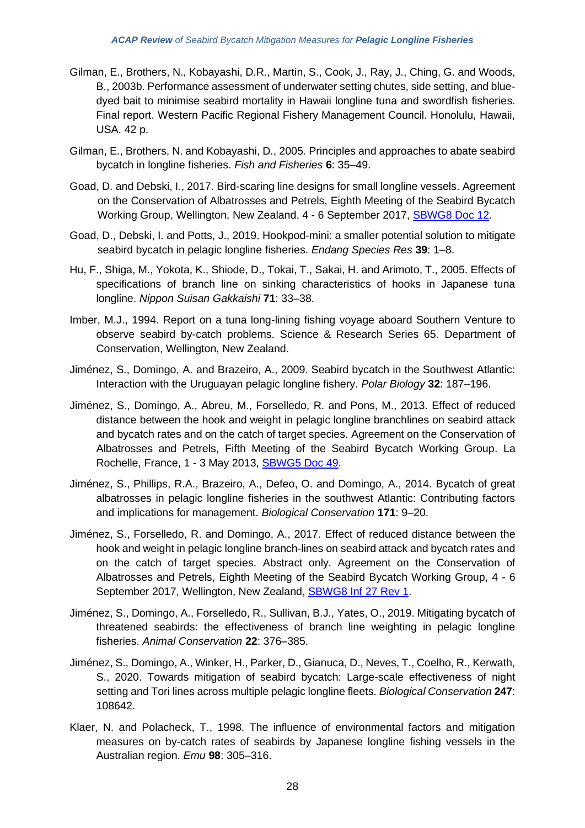- Gilman, E., Brothers, N., Kobayashi, D.R., Martin, S., Cook, J., Ray, J., Ching, G. and Woods, B., 2003b. Performance assessment of underwater setting chutes, side setting, and bluedyed bait to minimise seabird mortality in Hawaii longline tuna and swordfish fisheries. Final report. Western Pacific Regional Fishery Management Council. Honolulu, Hawaii, USA. 42 p.
- Gilman, E., Brothers, N. and Kobayashi, D., 2005. Principles and approaches to abate seabird bycatch in longline fisheries. *Fish and Fisheries* **6**: 35–49.
- Goad, D. and Debski, I., 2017. Bird-scaring line designs for small longline vessels. Agreement on the Conservation of Albatrosses and Petrels, Eighth Meeting of the Seabird Bycatch Working Group, Wellington, New Zealand, 4 - 6 September 2017, [SBWG8 Doc 12.](https://www.acap.aq/en/working-groups/seabird-bycatch-working-group/seabird-bycatch-wg-meeting-8/sbwg8-meeting-documents/2904-sbwg8-doc-12-bird-scaring-line-designs-for-small-longline-vessels/file)
- Goad, D., Debski, I. and Potts, J., 2019. Hookpod-mini: a smaller potential solution to mitigate seabird bycatch in pelagic longline fisheries. *Endang Species Res* **39**: 1–8.
- Hu, F., Shiga, M., Yokota, K., Shiode, D., Tokai, T., Sakai, H. and Arimoto, T., 2005. Effects of specifications of branch line on sinking characteristics of hooks in Japanese tuna longline. *Nippon Suisan Gakkaishi* **71**: 33–38.
- Imber, M.J., 1994. Report on a tuna long-lining fishing voyage aboard Southern Venture to observe seabird by-catch problems. Science & Research Series 65. Department of Conservation, Wellington, New Zealand.
- Jiménez, S., Domingo, A. and Brazeiro, A., 2009. Seabird bycatch in the Southwest Atlantic: Interaction with the Uruguayan pelagic longline fishery. *Polar Biology* **32**: 187–196.
- Jiménez, S., Domingo, A., Abreu, M., Forselledo, R. and Pons, M., 2013. Effect of reduced distance between the hook and weight in pelagic longline branchlines on seabird attack and bycatch rates and on the catch of target species. Agreement on the Conservation of Albatrosses and Petrels, Fifth Meeting of the Seabird Bycatch Working Group. La Rochelle, France, 1 - 3 May 2013, [SBWG5 Doc 49.](https://www.acap.aq/en/working-groups/seabird-bycatch-working-group/seabird-bycatch-wg-meeting-5/2065-sbwg5-doc-49-effect-of-reduced-distance-between-the-hook-and-weight-in-pelagic-longline-branchlines-on-seabird-attack-and-bycatch-rates-and-on-the-catch-of-target-species/file)
- Jiménez, S., Phillips, R.A., Brazeiro, A., Defeo, O. and Domingo, A., 2014. Bycatch of great albatrosses in pelagic longline fisheries in the southwest Atlantic: Contributing factors and implications for management. *Biological Conservation* **171**: 9–20.
- Jiménez, S., Forselledo, R. and Domingo, A., 2017. Effect of reduced distance between the hook and weight in pelagic longline branch-lines on seabird attack and bycatch rates and on the catch of target species. Abstract only. Agreement on the Conservation of Albatrosses and Petrels, Eighth Meeting of the Seabird Bycatch Working Group, 4 - 6 September 2017, Wellington, New Zealand, **SBWG8 Inf 27 Rev 1.**
- Jiménez, S., Domingo, A., Forselledo, R., Sullivan, B.J., Yates, O., 2019. Mitigating bycatch of threatened seabirds: the effectiveness of branch line weighting in pelagic longline fisheries. *Animal Conservation* **22**: 376–385.
- Jiménez, S., Domingo, A., Winker, H., Parker, D., Gianuca, D., Neves, T., Coelho, R., Kerwath, S., 2020. Towards mitigation of seabird bycatch: Large-scale effectiveness of night setting and Tori lines across multiple pelagic longline fleets. *Biological Conservation* **247**: 108642.
- Klaer, N. and Polacheck, T., 1998. The influence of environmental factors and mitigation measures on by-catch rates of seabirds by Japanese longline fishing vessels in the Australian region. *Emu* **98**: 305–316.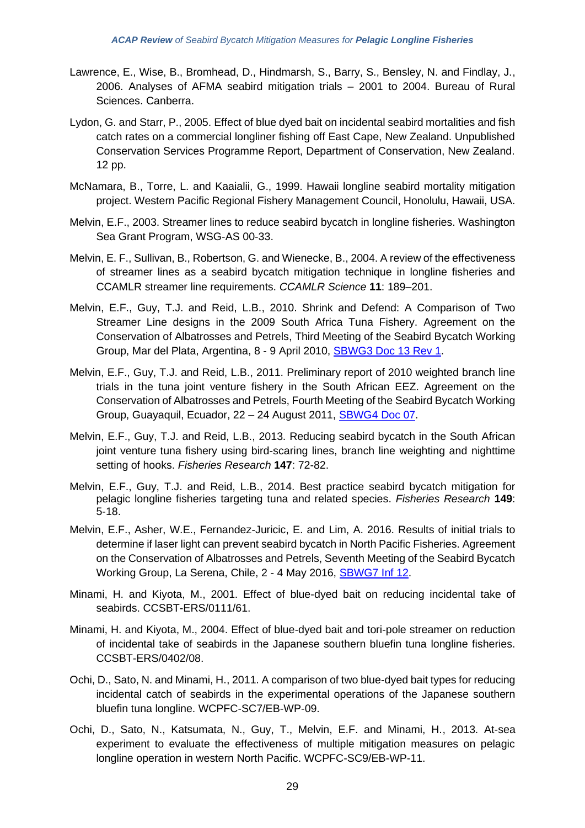- Lawrence, E., Wise, B., Bromhead, D., Hindmarsh, S., Barry, S., Bensley, N. and Findlay, J., 2006. Analyses of AFMA seabird mitigation trials – 2001 to 2004. Bureau of Rural Sciences. Canberra.
- Lydon, G. and Starr, P., 2005. Effect of blue dyed bait on incidental seabird mortalities and fish catch rates on a commercial longliner fishing off East Cape, New Zealand. Unpublished Conservation Services Programme Report, Department of Conservation, New Zealand. 12 pp.
- McNamara, B., Torre, L. and Kaaialii, G., 1999. Hawaii longline seabird mortality mitigation project. Western Pacific Regional Fishery Management Council, Honolulu, Hawaii, USA.
- Melvin, E.F., 2003. Streamer lines to reduce seabird bycatch in longline fisheries. Washington Sea Grant Program, WSG-AS 00-33.
- Melvin, E. F., Sullivan, B., Robertson, G. and Wienecke, B., 2004. A review of the effectiveness of streamer lines as a seabird bycatch mitigation technique in longline fisheries and CCAMLR streamer line requirements. *CCAMLR Science* **11**: 189–201.
- Melvin, E.F., Guy, T.J. and Reid, L.B., 2010. Shrink and Defend: A Comparison of Two Streamer Line designs in the 2009 South Africa Tuna Fishery. Agreement on the Conservation of Albatrosses and Petrels, Third Meeting of the Seabird Bycatch Working Group, Mar del Plata, Argentina, 8 - 9 April 2010, [SBWG3 Doc 13 Rev](https://www.acap.aq/en/working-groups/seabird-bycatch-working-group/seabird-bycatch-wg-meeting-3/sbwg3-meeting-documents/1303-sbwg-3-doc-13-rev1-melvin-et-al-shrink-and-defend/file) 1.
- Melvin, E.F., Guy, T.J. and Reid, L.B., 2011. Preliminary report of 2010 weighted branch line trials in the tuna joint venture fishery in the South African EEZ. Agreement on the Conservation of Albatrosses and Petrels, Fourth Meeting of the Seabird Bycatch Working Group, Guayaquil, Ecuador, 22 – 24 August 2011, [SBWG4 Doc 07.](https://www.acap.aq/en/working-groups/seabird-bycatch-working-group/seabird-bycatch-wg-meeting-4/sbwg4-meeting-documents/1333-sbwg-4-doc-07-weighted-branchline-trials-in-south-african-eez/file)
- Melvin, E.F., Guy, T.J. and Reid, L.B., 2013. Reducing seabird bycatch in the South African joint venture tuna fishery using bird-scaring lines, branch line weighting and nighttime setting of hooks. *Fisheries Research* **147**: 72-82.
- Melvin, E.F., Guy, T.J. and Reid, L.B., 2014. Best practice seabird bycatch mitigation for pelagic longline fisheries targeting tuna and related species. *Fisheries Research* **149**: 5-18.
- Melvin, E.F., Asher, W.E., Fernandez-Juricic, E. and Lim, A. 2016. Results of initial trials to determine if laser light can prevent seabird bycatch in North Pacific Fisheries. Agreement on the Conservation of Albatrosses and Petrels, Seventh Meeting of the Seabird Bycatch Working Group, La Serena, Chile, 2 - 4 May 2016, [SBWG7 Inf 12.](https://www.acap.aq/en/working-groups/seabird-bycatch-working-group/seabird-bycatch-wg-meeting-7/sbwg7-information-papers/2725-sbwg7-inf-12-results-of-initial-trials-to-determine-if-laser-light-can-prevent-seabird-bycatch-in-north-pacific-fisheries-summarry-only/file)
- Minami, H. and Kiyota, M., 2001. Effect of blue-dyed bait on reducing incidental take of seabirds. CCSBT-ERS/0111/61.
- Minami, H. and Kiyota, M., 2004. Effect of blue-dyed bait and tori-pole streamer on reduction of incidental take of seabirds in the Japanese southern bluefin tuna longline fisheries. CCSBT-ERS/0402/08.
- Ochi, D., Sato, N. and Minami, H., 2011. A comparison of two blue-dyed bait types for reducing incidental catch of seabirds in the experimental operations of the Japanese southern bluefin tuna longline. WCPFC-SC7/EB-WP-09.
- Ochi, D., Sato, N., Katsumata, N., Guy, T., Melvin, E.F. and Minami, H., 2013. At-sea experiment to evaluate the effectiveness of multiple mitigation measures on pelagic longline operation in western North Pacific. WCPFC-SC9/EB-WP-11.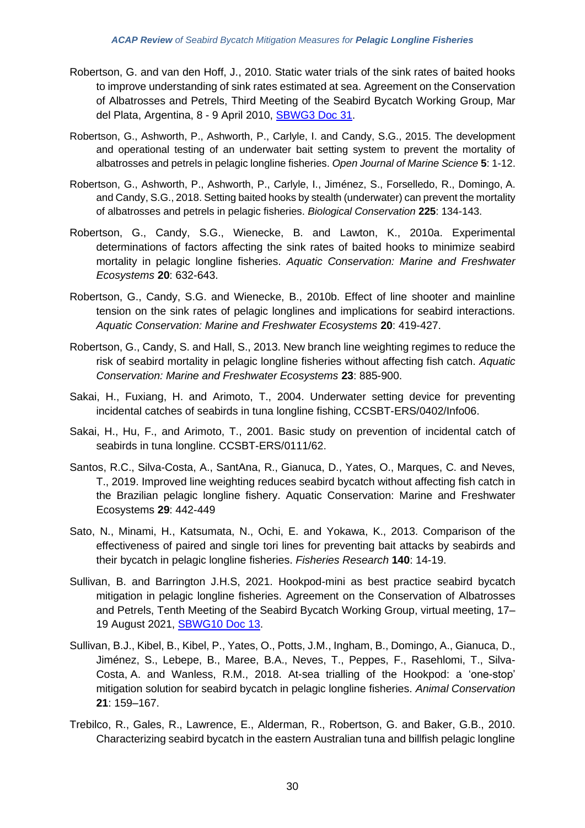- Robertson, G. and van den Hoff, J., 2010. Static water trials of the sink rates of baited hooks to improve understanding of sink rates estimated at sea. Agreement on the Conservation of Albatrosses and Petrels, Third Meeting of the Seabird Bycatch Working Group, Mar del Plata, Argentina, 8 - 9 April 2010, [SBWG3 Doc 31.](https://acap.aq/en/working-groups/seabird-bycatch-working-group/seabird-bycatch-wg-meeting-3/sbwg3-meeting-documents/1324-sbwg-3-doc-31-static-water-sink-rate-trials-to-improve-understanding-of-sink-rates-estimated-at-sea/file)
- Robertson, G., Ashworth, P., Ashworth, P., Carlyle, I. and Candy, S.G., 2015. The development and operational testing of an underwater bait setting system to prevent the mortality of albatrosses and petrels in pelagic longline fisheries. *Open Journal of Marine Science* **5**: 1-12.
- Robertson, G., Ashworth, P., Ashworth, P., Carlyle, I., Jiménez, S., Forselledo, R., Domingo, A. and Candy, S.G., 2018. Setting baited hooks by stealth (underwater) can prevent the mortality of albatrosses and petrels in pelagic fisheries. *Biological Conservation* **225**: 134-143.
- Robertson, G., Candy, S.G., Wienecke, B. and Lawton, K., 2010a. Experimental determinations of factors affecting the sink rates of baited hooks to minimize seabird mortality in pelagic longline fisheries. *Aquatic Conservation: Marine and Freshwater Ecosystems* **20**: 632-643.
- Robertson, G., Candy, S.G. and Wienecke, B., 2010b. Effect of line shooter and mainline tension on the sink rates of pelagic longlines and implications for seabird interactions. *Aquatic Conservation: Marine and Freshwater Ecosystems* **20**: 419-427.
- Robertson, G., Candy, S. and Hall, S., 2013. New branch line weighting regimes to reduce the risk of seabird mortality in pelagic longline fisheries without affecting fish catch. *Aquatic Conservation: Marine and Freshwater Ecosystems* **23**: 885-900.
- Sakai, H., Fuxiang, H. and Arimoto, T., 2004. Underwater setting device for preventing incidental catches of seabirds in tuna longline fishing, CCSBT-ERS/0402/Info06.
- Sakai, H., Hu, F., and Arimoto, T., 2001. Basic study on prevention of incidental catch of seabirds in tuna longline. CCSBT-ERS/0111/62.
- Santos, R.C., Silva-Costa, A., SantAna, R., Gianuca, D., Yates, O., Marques, C. and Neves, T., 2019. Improved line weighting reduces seabird bycatch without affecting fish catch in the Brazilian pelagic longline fishery. Aquatic Conservation: Marine and Freshwater Ecosystems **29**: 442-449
- Sato, N., Minami, H., Katsumata, N., Ochi, E. and Yokawa, K., 2013. Comparison of the effectiveness of paired and single tori lines for preventing bait attacks by seabirds and their bycatch in pelagic longline fisheries. *Fisheries Research* **140**: 14-19.
- Sullivan, B. and Barrington J.H.S, 2021. Hookpod-mini as best practice seabird bycatch mitigation in pelagic longline fisheries. Agreement on the Conservation of Albatrosses and Petrels, Tenth Meeting of the Seabird Bycatch Working Group, virtual meeting, 17– 19 August 2021, [SBWG10 Doc 13.](https://www.acap.aq/working-groups/seabird-bycatch-working-group/sbwg-10/sbwg10-meeting-documents/3792-sbwg10-doc-13-hookpod-mini-as-best-practice-summary/file)
- Sullivan, B.J., Kibel, B., Kibel, P., Yates, O., Potts, J.M., Ingham, B., Domingo, A., Gianuca, D., Jiménez, S., Lebepe, B., Maree, B.A., Neves, T., Peppes, F., Rasehlomi, T., Silva-Costa, A. and Wanless, R.M., 2018. At-sea trialling of the Hookpod: a 'one-stop' mitigation solution for seabird bycatch in pelagic longline fisheries. *Animal Conservation* **21**: 159–167.
- Trebilco, R., Gales, R., Lawrence, E., Alderman, R., Robertson, G. and Baker, G.B., 2010. Characterizing seabird bycatch in the eastern Australian tuna and billfish pelagic longline